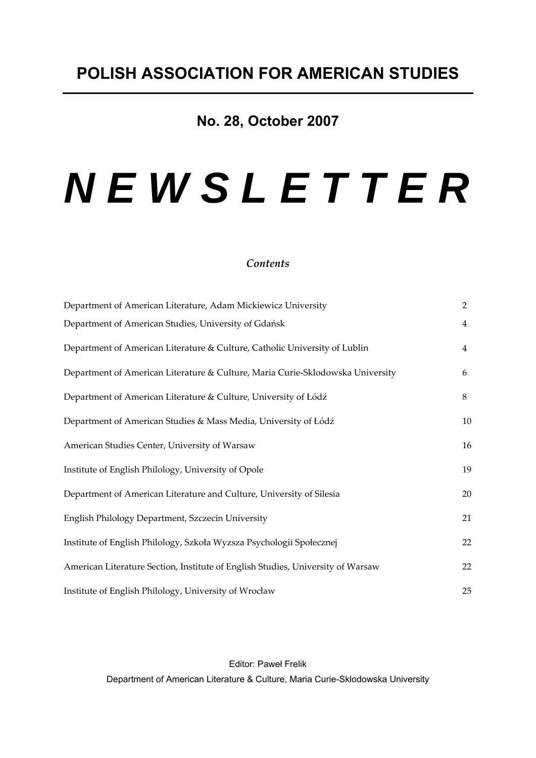# **No. 28, October 2007**

# *N E W S L E T T E R*

# *Contents*

| Department of American Literature, Adam Mickiewicz University                   | $\overline{2}$ |
|---------------------------------------------------------------------------------|----------------|
| Department of American Studies, University of Gdańsk                            | $\overline{4}$ |
| Department of American Literature & Culture, Catholic University of Lublin      | 4              |
| Department of American Literature & Culture, Maria Curie-Sklodowska University  | 6              |
| Department of American Literature & Culture, University of Łódź                 | 8              |
| Department of American Studies & Mass Media, University of Łódź                 | 10             |
| American Studies Center, University of Warsaw                                   | 16             |
| Institute of English Philology, University of Opole                             | 19             |
| Department of American Literature and Culture, University of Silesia            | 20             |
| English Philology Department, Szczecin University                               | 21             |
| Institute of English Philology, Szkoła Wyzsza Psychologii Społecznej            | 22             |
| American Literature Section, Institute of English Studies, University of Warsaw | 22             |
| Institute of English Philology, University of Wrocław                           | 25             |

Editor: Paweł Frelik Department of American Literature & Culture, Maria Curie-Sklodowska University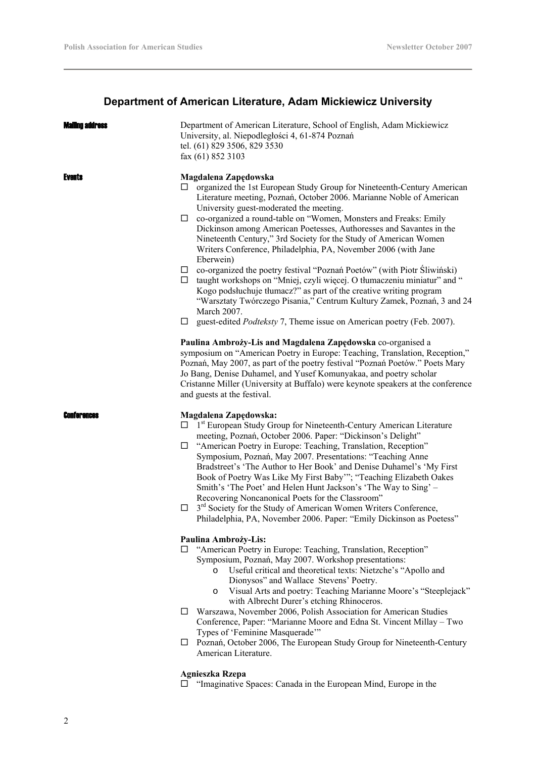# **Department of American Literature, Adam Mickiewicz University**

| Mailinn address | Department of American Literature, School of English, Adam Mickiewicz<br>University, al. Niepodległości 4, 61-874 Poznań<br>tel. (61) 829 3506, 829 3530<br>fax (61) 852 3103                                                                                                                                                                                                                                                                                                                                                                                                                                                                                                                                                                                                                                                                                                                                                                   |
|-----------------|-------------------------------------------------------------------------------------------------------------------------------------------------------------------------------------------------------------------------------------------------------------------------------------------------------------------------------------------------------------------------------------------------------------------------------------------------------------------------------------------------------------------------------------------------------------------------------------------------------------------------------------------------------------------------------------------------------------------------------------------------------------------------------------------------------------------------------------------------------------------------------------------------------------------------------------------------|
| Events          | Magdalena Zapędowska<br>$\Box$ organized the 1st European Study Group for Nineteenth-Century American<br>Literature meeting, Poznań, October 2006. Marianne Noble of American<br>University guest-moderated the meeting.<br>co-organized a round-table on "Women, Monsters and Freaks: Emily<br>□<br>Dickinson among American Poetesses, Authoresses and Savantes in the<br>Nineteenth Century," 3rd Society for the Study of American Women<br>Writers Conference, Philadelphia, PA, November 2006 (with Jane<br>Eberwein)<br>co-organized the poetry festival "Poznań Poetów" (with Piotr Sliwiński)<br>ш<br>taught workshops on "Mniej, czyli więcej. O tłumaczeniu miniatur" and "<br>□<br>Kogo podsłuchuje tłumacz?" as part of the creative writing program<br>"Warsztaty Twórczego Pisania," Centrum Kultury Zamek, Poznań, 3 and 24<br>March 2007.<br>guest-edited <i>Podteksty</i> 7, Theme issue on American poetry (Feb. 2007).<br>ப |
|                 | Paulina Ambroży-Lis and Magdalena Zapędowska co-organised a<br>symposium on "American Poetry in Europe: Teaching, Translation, Reception,"<br>Poznań, May 2007, as part of the poetry festival "Poznań Poetów." Poets Mary<br>Jo Bang, Denise Duhamel, and Yusef Komunyakaa, and poetry scholar<br>Cristanne Miller (University at Buffalo) were keynote speakers at the conference<br>and guests at the festival.                                                                                                                                                                                                                                                                                                                                                                                                                                                                                                                              |
| Conterences     | Magdalena Zapędowska:<br>$\Box$ 1 <sup>st</sup> European Study Group for Nineteenth-Century American Literature<br>meeting, Poznań, October 2006. Paper: "Dickinson's Delight"<br>"American Poetry in Europe: Teaching, Translation, Reception"<br>$\Box$<br>Symposium, Poznań, May 2007. Presentations: "Teaching Anne<br>Bradstreet's 'The Author to Her Book' and Denise Duhamel's 'My First<br>Book of Poetry Was Like My First Baby"'; "Teaching Elizabeth Oakes<br>Smith's 'The Poet' and Helen Hunt Jackson's 'The Way to Sing' –<br>Recovering Noncanonical Poets for the Classroom"<br>3 <sup>rd</sup> Society for the Study of American Women Writers Conference,<br>Philadelphia, PA, November 2006. Paper: "Emily Dickinson as Poetess"                                                                                                                                                                                             |
|                 | Paulina Ambroży-Lis:<br>"American Poetry in Europe: Teaching, Translation, Reception"<br>ப<br>Symposium, Poznań, May 2007. Workshop presentations:<br>Useful critical and theoretical texts: Nietzche's "Apollo and<br>$\circ$<br>Dionysos" and Wallace Stevens' Poetry.<br>Visual Arts and poetry: Teaching Marianne Moore's "Steeplejack"<br>$\circ$<br>with Albrecht Durer's etching Rhinoceros.                                                                                                                                                                                                                                                                                                                                                                                                                                                                                                                                             |
|                 | Warszawa, November 2006, Polish Association for American Studies<br>□<br>Conference, Paper: "Marianne Moore and Edna St. Vincent Millay - Two<br>Types of 'Feminine Masquerade'"<br>Poznań, October 2006, The European Study Group for Nineteenth-Century<br>ப                                                                                                                                                                                                                                                                                                                                                                                                                                                                                                                                                                                                                                                                                  |
|                 | American Literature.                                                                                                                                                                                                                                                                                                                                                                                                                                                                                                                                                                                                                                                                                                                                                                                                                                                                                                                            |

# **Agnieszka Rzepa**

□ "Imaginative Spaces: Canada in the European Mind, Europe in the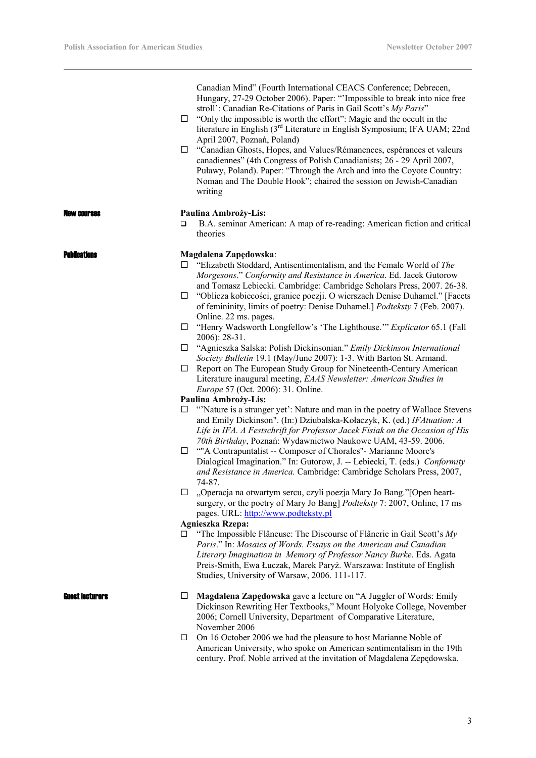$\overline{\phantom{a}}$ 

|                     | □<br>□                               | Canadian Mind" (Fourth International CEACS Conference; Debrecen,<br>Hungary, 27-29 October 2006). Paper: "'Impossible to break into nice free<br>stroll': Canadian Re-Citations of Paris in Gail Scott's My Paris"<br>"Only the impossible is worth the effort": Magic and the occult in the<br>literature in English (3 <sup>rd</sup> Literature in English Symposium; IFA UAM; 22nd<br>April 2007, Poznań, Poland)<br>"Canadian Ghosts, Hopes, and Values/Rémanences, espérances et valeurs<br>canadiennes" (4th Congress of Polish Canadianists; 26 - 29 April 2007,<br>Puławy, Poland). Paper: "Through the Arch and into the Coyote Country:<br>Noman and The Double Hook"; chaired the session on Jewish-Canadian<br>writing                                                                                                                                                                                                                                                                                                                                                                                                                                                                                                                                                                                                                                                                                                                                                                                                                                                                                                                                                                                                                                                                                                                                                                                                                                                                                                   |
|---------------------|--------------------------------------|--------------------------------------------------------------------------------------------------------------------------------------------------------------------------------------------------------------------------------------------------------------------------------------------------------------------------------------------------------------------------------------------------------------------------------------------------------------------------------------------------------------------------------------------------------------------------------------------------------------------------------------------------------------------------------------------------------------------------------------------------------------------------------------------------------------------------------------------------------------------------------------------------------------------------------------------------------------------------------------------------------------------------------------------------------------------------------------------------------------------------------------------------------------------------------------------------------------------------------------------------------------------------------------------------------------------------------------------------------------------------------------------------------------------------------------------------------------------------------------------------------------------------------------------------------------------------------------------------------------------------------------------------------------------------------------------------------------------------------------------------------------------------------------------------------------------------------------------------------------------------------------------------------------------------------------------------------------------------------------------------------------------------------------|
| AW COULSAS          | □                                    | Paulina Ambroży-Lis:<br>B.A. seminar American: A map of re-reading: American fiction and critical<br>theories                                                                                                                                                                                                                                                                                                                                                                                                                                                                                                                                                                                                                                                                                                                                                                                                                                                                                                                                                                                                                                                                                                                                                                                                                                                                                                                                                                                                                                                                                                                                                                                                                                                                                                                                                                                                                                                                                                                        |
| <b>Publications</b> | $\Box$<br>□<br>ப<br>□<br>□<br>$\Box$ | Magdalena Zapędowska:<br>$\Box$ "Elizabeth Stoddard, Antisentimentalism, and the Female World of The<br>Morgesons." Conformity and Resistance in America. Ed. Jacek Gutorow<br>and Tomasz Lebiecki. Cambridge: Cambridge Scholars Press, 2007. 26-38.<br>□ "Oblicza kobiecości, granice poezji. O wierszach Denise Duhamel." [Facets<br>of femininity, limits of poetry: Denise Duhamel.] Podteksty 7 (Feb. 2007).<br>Online. 22 ms. pages.<br>$\Box$ "Henry Wadsworth Longfellow's 'The Lighthouse." <i>Explicator</i> 65.1 (Fall<br>$2006$ : 28-31.<br>"Agnieszka Salska: Polish Dickinsonian." Emily Dickinson International<br>Society Bulletin 19.1 (May/June 2007): 1-3. With Barton St. Armand.<br>Report on The European Study Group for Nineteenth-Century American<br>Literature inaugural meeting, EAAS Newsletter: American Studies in<br>Europe 57 (Oct. 2006): 31. Online.<br>Paulina Ambroży-Lis:<br>"Nature is a stranger yet': Nature and man in the poetry of Wallace Stevens<br>and Emily Dickinson". (In:) Dziubalska-Kołaczyk, K. (ed.) IFAtuation: A<br>Life in IFA. A Festschrift for Professor Jacek Fisiak on the Occasion of His<br>70th Birthday, Poznań: Wydawnictwo Naukowe UAM, 43-59. 2006.<br>""A Contrapuntalist -- Composer of Chorales"- Marianne Moore's<br>Dialogical Imagination." In: Gutorow, J. -- Lebiecki, T. (eds.) Conformity<br>and Resistance in America. Cambridge: Cambridge Scholars Press, 2007,<br>74-87.<br>"Operacja na otwartym sercu, czyli poezja Mary Jo Bang."[Open heart-<br>surgery, or the poetry of Mary Jo Bang] Podteksty 7: 2007, Online, 17 ms<br>pages. URL: http://www.podteksty.pl<br><b>Agnieszka Rzepa:</b><br>"The Impossible Flâneuse: The Discourse of Flânerie in Gail Scott's $My$<br>Paris." In: Mosaics of Words. Essays on the American and Canadian<br>Literary Imagination in Memory of Professor Nancy Burke. Eds. Agata<br>Preis-Smith, Ewa Łuczak, Marek Paryż. Warszawa: Institute of English<br>Studies, University of Warsaw, 2006. 111-117. |
| Guest lecturers     | ப<br>□                               | Magdalena Zapędowska gave a lecture on "A Juggler of Words: Emily<br>Dickinson Rewriting Her Textbooks," Mount Holyoke College, November<br>2006; Cornell University, Department of Comparative Literature,<br>November 2006<br>On 16 October 2006 we had the pleasure to host Marianne Noble of<br>American University, who spoke on American sentimentalism in the 19th<br>century. Prof. Noble arrived at the invitation of Magdalena Zepędowska.                                                                                                                                                                                                                                                                                                                                                                                                                                                                                                                                                                                                                                                                                                                                                                                                                                                                                                                                                                                                                                                                                                                                                                                                                                                                                                                                                                                                                                                                                                                                                                                 |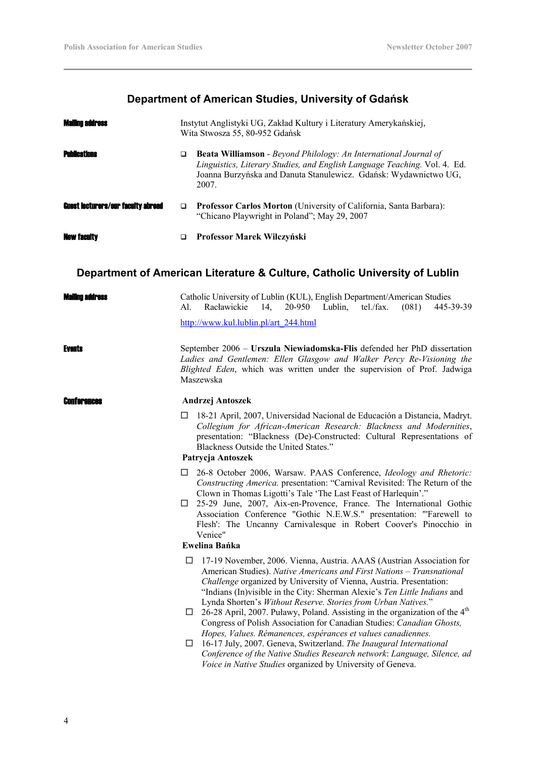# **Department of American Studies, University of Gdańsk**

| <b>Mailing address</b>                    |   | Instytut Anglistyki UG, Zakład Kultury i Literatury Amerykańskiej,<br>Wita Stwosza 55, 80-952 Gdańsk                                                                                                                              |  |
|-------------------------------------------|---|-----------------------------------------------------------------------------------------------------------------------------------------------------------------------------------------------------------------------------------|--|
| <b>Publications</b>                       | □ | <b>Beata Williamson</b> - Beyond Philology: An International Journal of<br>Linguistics, Literary Studies, and English Language Teaching. Vol. 4. Ed.<br>Joanna Burzyńska and Danuta Stanulewicz. Gdańsk: Wydawnictwo UG,<br>2007. |  |
| <b>Guest lecturers/our faculty abroad</b> |   | Professor Carlos Morton (University of California, Santa Barbara):<br>"Chicano Playwright in Poland"; May 29, 2007                                                                                                                |  |
| <b>New faculty</b>                        | ◻ | Professor Marek Wilczyński                                                                                                                                                                                                        |  |

# **Department of American Literature & Culture, Catholic University of Lublin**

| Mailing aggress    | Catholic University of Lublin (KUL), English Department/American Studies<br>Racławickie<br>20-950 Lublin,<br>tel./fax.<br>(081)<br>445-39-39<br>Al.<br>14,                                                                                                                                                                                                                                                                                                                                                                                                                                                                                                                                                                                                                                                                                   |  |  |  |  |
|--------------------|----------------------------------------------------------------------------------------------------------------------------------------------------------------------------------------------------------------------------------------------------------------------------------------------------------------------------------------------------------------------------------------------------------------------------------------------------------------------------------------------------------------------------------------------------------------------------------------------------------------------------------------------------------------------------------------------------------------------------------------------------------------------------------------------------------------------------------------------|--|--|--|--|
|                    | http://www.kul.lublin.pl/art 244.html                                                                                                                                                                                                                                                                                                                                                                                                                                                                                                                                                                                                                                                                                                                                                                                                        |  |  |  |  |
| <b>Events</b>      | September 2006 - Urszula Niewiadomska-Flis defended her PhD dissertation<br>Ladies and Gentlemen: Ellen Glasgow and Walker Percy Re-Visioning the<br>Blighted Eden, which was written under the supervision of Prof. Jadwiga<br>Maszewska                                                                                                                                                                                                                                                                                                                                                                                                                                                                                                                                                                                                    |  |  |  |  |
| <b>Conterences</b> | Andrzej Antoszek                                                                                                                                                                                                                                                                                                                                                                                                                                                                                                                                                                                                                                                                                                                                                                                                                             |  |  |  |  |
|                    | 18-21 April, 2007, Universidad Nacional de Educación a Distancia, Madryt.<br>□<br>Collegium for African-American Research: Blackness and Modernities,<br>presentation: "Blackness (De)-Constructed: Cultural Representations of<br>Blackness Outside the United States."<br>Patrycja Antoszek                                                                                                                                                                                                                                                                                                                                                                                                                                                                                                                                                |  |  |  |  |
|                    | 26-8 October 2006, Warsaw. PAAS Conference, Ideology and Rhetoric:<br>$\Box$<br>Constructing America. presentation: "Carnival Revisited: The Return of the<br>Clown in Thomas Ligotti's Tale 'The Last Feast of Harlequin'."<br>25-29 June, 2007, Aix-en-Provence, France. The International Gothic<br>⊔<br>Association Conference "Gothic N.E.W.S." presentation: "Farewell to<br>Flesh': The Uncanny Carnivalesque in Robert Coover's Pinocchio in<br>Venice"<br>Ewelina Bańka                                                                                                                                                                                                                                                                                                                                                             |  |  |  |  |
|                    | 17-19 November, 2006. Vienna, Austria. AAAS (Austrian Association for<br>ப<br>American Studies). Native Americans and First Nations - Transnational<br>Challenge organized by University of Vienna, Austria. Presentation:<br>"Indians (In) visible in the City: Sherman Alexie's Ten Little Indians and<br>Lynda Shorten's Without Reserve. Stories from Urban Natives."<br>26-28 April, 2007. Puławy, Poland. Assisting in the organization of the 4 <sup>th</sup><br>$\Box$<br>Congress of Polish Association for Canadian Studies: Canadian Ghosts,<br>Hopes, Values. Rémanences, espérances et values canadiennes.<br>16-17 July, 2007. Geneva, Switzerland. The Inaugural International<br>□<br>Conference of the Native Studies Research network: Language, Silence, ad<br>Voice in Native Studies organized by University of Geneva. |  |  |  |  |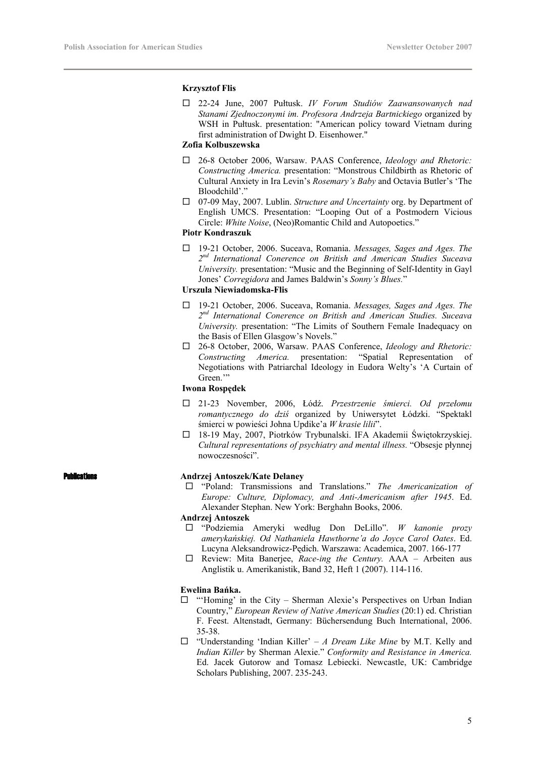# **Krzysztof Flis**

 22-24 June, 2007 Pułtusk. *IV Forum Studiów Zaawansowanych nad Stanami Zjednoczonymi im. Profesora Andrzeja Bartnickiego* organized by WSH in Pułtusk. presentation: "American policy toward Vietnam during first administration of Dwight D. Eisenhower."

# **Zofia Kolbuszewska**

- 26-8 October 2006, Warsaw. PAAS Conference, *Ideology and Rhetoric: Constructing America.* presentation: "Monstrous Childbirth as Rhetoric of Cultural Anxiety in Ira Levin's *Rosemary's Baby* and Octavia Butler's 'The Bloodchild'."
- 07-09 May, 2007. Lublin. *Structure and Uncertainty* org. by Department of English UMCS. Presentation: "Looping Out of a Postmodern Vicious Circle: *White Noise*, (Neo)Romantic Child and Autopoetics."

# **Piotr Kondraszuk**

 19-21 October, 2006. Suceava, Romania. *Messages, Sages and Ages. The 2nd International Conerence on British and American Studies Suceava University.* presentation: "Music and the Beginning of Self-Identity in Gayl Jones' *Corregidora* and James Baldwin's *Sonny's Blues.*"

# **Urszula Niewiadomska-Flis**

- 19-21 October, 2006. Suceava, Romania. *Messages, Sages and Ages. The 2nd International Conerence on British and American Studies. Suceava University.* presentation: "The Limits of Southern Female Inadequacy on the Basis of Ellen Glasgow's Novels."
- 26-8 October, 2006, Warsaw. PAAS Conference, *Ideology and Rhetoric: Constructing America.* presentation: "Spatial Representation of Negotiations with Patriarchal Ideology in Eudora Welty's 'A Curtain of Green."

# **Iwona Rospędek**

- 21-23 November, 2006, Łódź. *Przestrzenie śmierci. Od przełomu romantycznego do dziś* organized by Uniwersytet Łódzki. "Spektakl śmierci w powieści Johna Updike'a *W krasie lilii*".
- 18-19 May, 2007, Piotrków Trybunalski. IFA Akademii Świętokrzyskiej. *Cultural representations of psychiatry and mental illness.* "Obsesje płynnej nowoczesności".

# **Ications Andrzej Antoszek/Kate Delaney**

 "Poland: Transmissions and Translations." *The Americanization of Europe: Culture, Diplomacy, and Anti-Americanism after 1945*. Ed. Alexander Stephan. New York: Berghahn Books, 2006.

# **Andrzej Antoszek**

- "Podziemia Ameryki według Don DeLillo". *W kanonie prozy amerykańskiej. Od Nathaniela Hawthorne'a do Joyce Carol Oates*. Ed. Lucyna Aleksandrowicz-Pędich. Warszawa: Academica, 2007. 166-177
- Review: Mita Banerjee, *Race-ing the Century.* AAA Arbeiten aus Anglistik u. Amerikanistik, Band 32, Heft 1 (2007). 114-116.

# **Ewelina Bańka.**

- $\Box$  "'Homing' in the City Sherman Alexie's Perspectives on Urban Indian Country," *European Review of Native American Studies* (20:1) ed. Christian F. Feest. Altenstadt, Germany: Büchersendung Buch International, 2006. 35-38.
- "Understanding 'Indian Killer' *A Dream Like Mine* by M.T. Kelly and *Indian Killer* by Sherman Alexie." *Conformity and Resistance in America.*  Ed. Jacek Gutorow and Tomasz Lebiecki. Newcastle, UK: Cambridge Scholars Publishing, 2007. 235-243.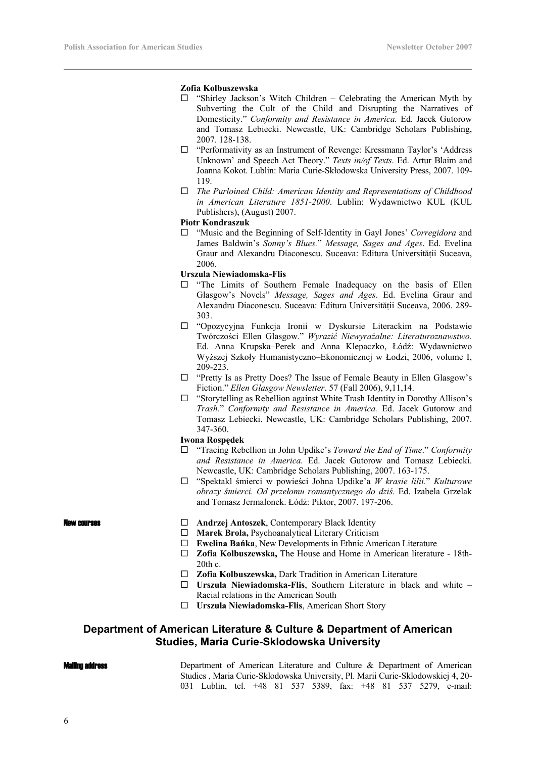# **Zofia Kolbuszewska**

- $\Box$  "Shirley Jackson's Witch Children Celebrating the American Myth by Subverting the Cult of the Child and Disrupting the Narratives of Domesticity." *Conformity and Resistance in America.* Ed. Jacek Gutorow and Tomasz Lebiecki. Newcastle, UK: Cambridge Scholars Publishing, 2007. 128-138.
- □ "Performativity as an Instrument of Revenge: Kressmann Taylor's 'Address Unknown' and Speech Act Theory." *Texts in/of Texts*. Ed. Artur Blaim and Joanna Kokot. Lublin: Maria Curie-Skłodowska University Press, 2007. 109- 119.
- *The Purloined Child: American Identity and Representations of Childhood in American Literature 1851-2000*. Lublin: Wydawnictwo KUL (KUL Publishers), (August) 2007.

# **Piotr Kondraszuk**

 "Music and the Beginning of Self-Identity in Gayl Jones' *Corregidora* and James Baldwin's *Sonny's Blues.*" *Message, Sages and Ages*. Ed. Evelina Graur and Alexandru Diaconescu. Suceava: Editura Universității Suceava, 2006.

# **Urszula Niewiadomska-Flis**

- $\square$  "The Limits of Southern Female Inadequacy on the basis of Ellen Glasgow's Novels" *Message, Sages and Ages*. Ed. Evelina Graur and Alexandru Diaconescu. Suceava: Editura Universității Suceava, 2006. 289-303.
- "Opozycyjna Funkcja Ironii w Dyskursie Literackim na Podstawie Twórczości Ellen Glasgow." *Wyrazić Niewyrażalne: Literaturoznawstwo.* Ed. Anna Krupska–Perek and Anna Klepaczko, Łódź: Wydawnictwo Wyższej Szkoły Humanistyczno–Ekonomicznej w Łodzi, 2006, volume I, 209-223.
- □ "Pretty Is as Pretty Does? The Issue of Female Beauty in Ellen Glasgow's Fiction." *Ellen Glasgow Newsletter*. 57 (Fall 2006), 9,11,14.
- "Storytelling as Rebellion against White Trash Identity in Dorothy Allison's *Trash.*" *Conformity and Resistance in America.* Ed. Jacek Gutorow and Tomasz Lebiecki. Newcastle, UK: Cambridge Scholars Publishing, 2007. 347-360.

## **Iwona Rospędek**

- "Tracing Rebellion in John Updike's *Toward the End of Time*." *Conformity and Resistance in America.* Ed. Jacek Gutorow and Tomasz Lebiecki. Newcastle, UK: Cambridge Scholars Publishing, 2007. 163-175.
- "Spektakl śmierci w powieści Johna Updike'a *W krasie lilii.*" *Kulturowe obrazy śmierci. Od przełomu romantycznego do dziś*. Ed. Izabela Grzelak and Tomasz Jermalonek. Łódź: Piktor, 2007. 197-206.

- **New courses EXECUTE:** Andrzej Antoszek, Contemporary Black Identity
	- **Marek Brola,** Psychoanalytical Literary Criticism
	- **Ewelina Bańka**, New Developments in Ethnic American Literature
	- **Zofia Kolbuszewska,** The House and Home in American literature 18th-20th c.
	- **Zofia Kolbuszewska,** Dark Tradition in American Literature
	- **Urszula Niewiadomska-Flis**, Southern Literature in black and white Racial relations in the American South
	- **Urszula Niewiadomska-Flis**, American Short Story

# **Department of American Literature & Culture & Department of American Studies, Maria Curie-Sklodowska University**

### Mailing address

Department of American Literature and Culture & Department of American Studies , Maria Curie-Sklodowska University, Pl. Marii Curie-Sklodowskiej 4, 20- 031 Lublin, tel. +48 81 537 5389, fax: +48 81 537 5279, e-mail: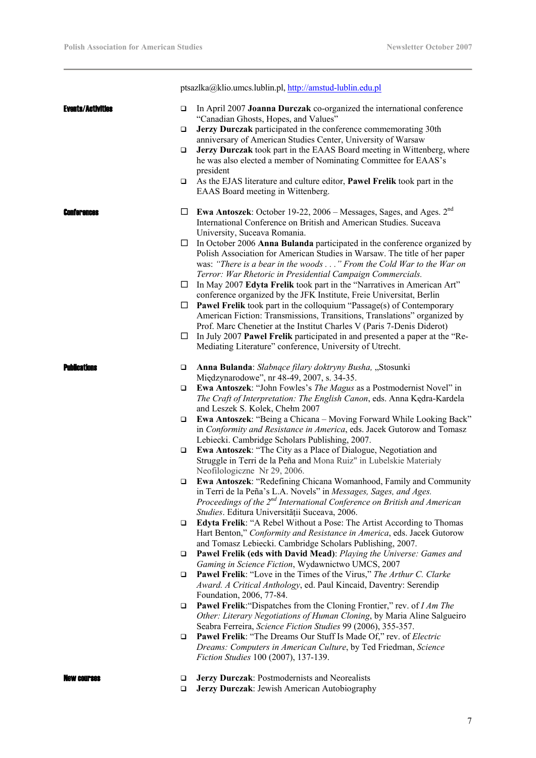÷.

|                          |                  | ptsazlka@klio.umcs.lublin.pl, http://amstud-lublin.edu.pl                                                                                                                                                                                                                     |
|--------------------------|------------------|-------------------------------------------------------------------------------------------------------------------------------------------------------------------------------------------------------------------------------------------------------------------------------|
| <b>Events/Activities</b> | $\Box$<br>$\Box$ | In April 2007 Joanna Durczak co-organized the international conference<br>"Canadian Ghosts, Hopes, and Values"<br>Jerzy Durczak participated in the conference commemorating 30th                                                                                             |
|                          | ❏                | anniversary of American Studies Center, University of Warsaw<br>Jerzy Durczak took part in the EAAS Board meeting in Wittenberg, where<br>he was also elected a member of Nominating Committee for EAAS's                                                                     |
|                          | ❏                | president<br>As the EJAS literature and culture editor, <b>Pawel Frelik</b> took part in the<br>EAAS Board meeting in Wittenberg.                                                                                                                                             |
| Conferences              | ப                | Ewa Antoszek: October 19-22, 2006 - Messages, Sages, and Ages. 2 <sup>nd</sup><br>International Conference on British and American Studies. Suceava<br>University, Suceava Romania.                                                                                           |
|                          | □                | In October 2006 Anna Bulanda participated in the conference organized by<br>Polish Association for American Studies in Warsaw. The title of her paper<br>was: "There is a bear in the woods" From the Cold War to the War on                                                  |
|                          | ப                | Terror: War Rhetoric in Presidential Campaign Commercials.<br>In May 2007 Edyta Frelik took part in the "Narratives in American Art"<br>conference organized by the JFK Institute, Freie Universitat, Berlin                                                                  |
|                          | ப                | <b>Pawel Frelik</b> took part in the colloquium "Passage(s) of Contemporary<br>American Fiction: Transmissions, Transitions, Translations" organized by<br>Prof. Marc Chenetier at the Institut Charles V (Paris 7-Denis Diderot)                                             |
|                          | ⊔                | In July 2007 Pawel Frelik participated in and presented a paper at the "Re-<br>Mediating Literature" conference, University of Utrecht.                                                                                                                                       |
| <b>Publications</b>      | ❏                | Anna Bulanda: Słabnące filary doktryny Busha, "Stosunki<br>Międzynarodowe", nr 48-49, 2007, s. 34-35.                                                                                                                                                                         |
|                          | $\Box$           | Ewa Antoszek: "John Fowles's The Magus as a Postmodernist Novel" in<br>The Craft of Interpretation: The English Canon, eds. Anna Kędra-Kardela<br>and Leszek S. Kolek, Chełm 2007                                                                                             |
|                          | $\Box$           | Ewa Antoszek: "Being a Chicana - Moving Forward While Looking Back"<br>in Conformity and Resistance in America, eds. Jacek Gutorow and Tomasz<br>Lebiecki. Cambridge Scholars Publishing, 2007.                                                                               |
|                          | ❏                | Ewa Antoszek: "The City as a Place of Dialogue, Negotiation and<br>Struggle in Terri de la Peña and Mona Ruiz" in Lubelskie Materiały<br>Neofilologiczne Nr 29, 2006.                                                                                                         |
|                          |                  | Ewa Antoszek: "Redefining Chicana Womanhood, Family and Community<br>in Terri de la Peña's L.A. Novels" in Messages, Sages, and Ages.<br>Proceedings of the 2 <sup>nd</sup> International Conference on British and American<br>Studies. Editura Universității Suceava, 2006. |
|                          | □                | Edyta Frelik: "A Rebel Without a Pose: The Artist According to Thomas<br>Hart Benton," Conformity and Resistance in America, eds. Jacek Gutorow<br>and Tomasz Lebiecki. Cambridge Scholars Publishing, 2007.                                                                  |
|                          | □                | Pawel Frelik (eds with David Mead): Playing the Universe: Games and<br>Gaming in Science Fiction, Wydawnictwo UMCS, 2007                                                                                                                                                      |
|                          | $\Box$           | <b>Pawel Frelik:</b> "Love in the Times of the Virus," The Arthur C. Clarke<br>Award. A Critical Anthology, ed. Paul Kincaid, Daventry: Serendip<br>Foundation, 2006, 77-84.                                                                                                  |
|                          | $\Box$           | Pawel Frelik: "Dispatches from the Cloning Frontier," rev. of I Am The<br>Other: Literary Negotiations of Human Cloning, by Maria Aline Salgueiro<br>Seabra Ferreira, Science Fiction Studies 99 (2006), 355-357.                                                             |
|                          | ❏                | <b>Pawel Frelik: "The Dreams Our Stuff Is Made Of," rev. of Electric</b><br>Dreams: Computers in American Culture, by Ted Friedman, Science<br>Fiction Studies 100 (2007), 137-139.                                                                                           |
|                          | ❏<br>$\Box$      | Jerzy Durczak: Postmodernists and Neorealists<br>Jerzy Durczak: Jewish American Autobiography                                                                                                                                                                                 |

# 7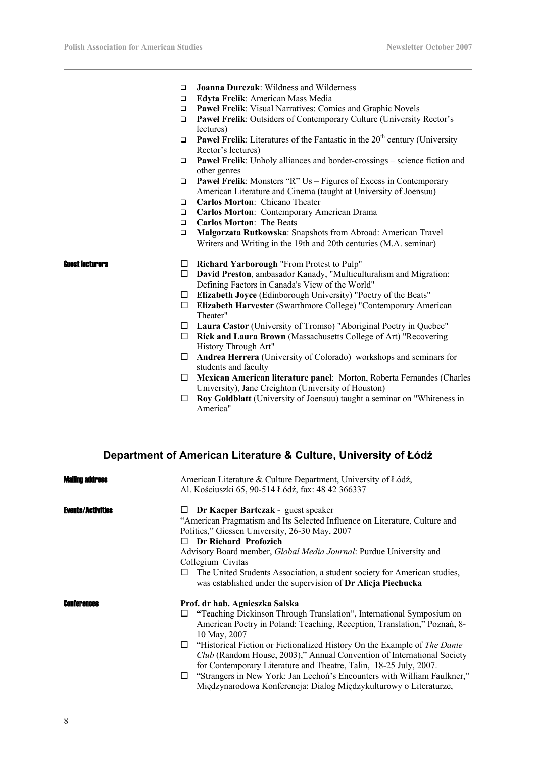- **Joanna Durczak**: Wildness and Wilderness
- **Edyta Frelik**: American Mass Media
- **Paweł Frelik**: Visual Narratives: Comics and Graphic Novels
- **Paweł Frelik**: Outsiders of Contemporary Culture (University Rector's lectures)
- **Paweł Frelik:** Literatures of the Fantastic in the  $20<sup>th</sup>$  century (University Rector's lectures)
- **Paweł Frelik**: Unholy alliances and border-crossings science fiction and other genres
- **Paweł Frelik**: Monsters "R" Us Figures of Excess in Contemporary American Literature and Cinema (taught at University of Joensuu)
- **Carlos Morton**: Chicano Theater
- **Carlos Morton**: Contemporary American Drama
- **Carlos Morton**: The Beats
- **Małgorzata Rutkowska**: Snapshots from Abroad: American Travel Writers and Writing in the 19th and 20th centuries (M.A. seminar)

- **Guest lecturers Richard Yarborough** "From Protest to Pulp"
	- **David Preston**, ambasador Kanady, "Multiculturalism and Migration: Defining Factors in Canada's View of the World"
	- **Elizabeth Joyce** (Edinborough University) "Poetry of the Beats"
	- **Elizabeth Harvester** (Swarthmore College) "Contemporary American Theater"
	- **Laura Castor** (University of Tromso) "Aboriginal Poetry in Quebec"
	- **Rick and Laura Brown** (Massachusetts College of Art) "Recovering History Through Art"
	- **Andrea Herrera** (University of Colorado) workshops and seminars for students and faculty
	- **Mexican American literature panel**: Morton, Roberta Fernandes (Charles University), Jane Creighton (University of Houston)
	- **Roy Goldblatt** (University of Joensuu) taught a seminar on "Whiteness in America"

# **Department of American Literature & Culture, University of Łódź**

| Mailing a                | American Literature & Culture Department, University of Łódź,<br>Al. Kościuszki 65, 90-514 Łódź, fax: 48 42 366337                                                                                                                                                                                                                                                                                                                                                                                                                                                                      |
|--------------------------|-----------------------------------------------------------------------------------------------------------------------------------------------------------------------------------------------------------------------------------------------------------------------------------------------------------------------------------------------------------------------------------------------------------------------------------------------------------------------------------------------------------------------------------------------------------------------------------------|
| <b>Events/Activities</b> | Dr Kacper Bartczak - guest speaker<br>"American Pragmatism and Its Selected Influence on Literature, Culture and<br>Politics," Giessen University, 26-30 May, 2007<br>Dr Richard Profozich<br>Advisory Board member, <i>Global Media Journal</i> : Purdue University and<br>Collegium Civitas<br>The United Students Association, a student society for American studies,<br>was established under the supervision of Dr Alicja Piechucka                                                                                                                                               |
| <b>Conferences</b>       | Prof. dr hab. Agnieszka Salska<br>"Teaching Dickinson Through Translation", International Symposium on<br>American Poetry in Poland: Teaching, Reception, Translation," Poznań, 8-<br>10 May, 2007<br>"Historical Fiction or Fictionalized History On the Example of The Dante<br>ப<br>Club (Random House, 2003)," Annual Convention of International Society<br>for Contemporary Literature and Theatre, Talin, 18-25 July, 2007.<br>"Strangers in New York: Jan Lechoń's Encounters with William Faulkner,"<br>□<br>Międzynarodowa Konferencja: Dialog Międzykulturowy o Literaturze, |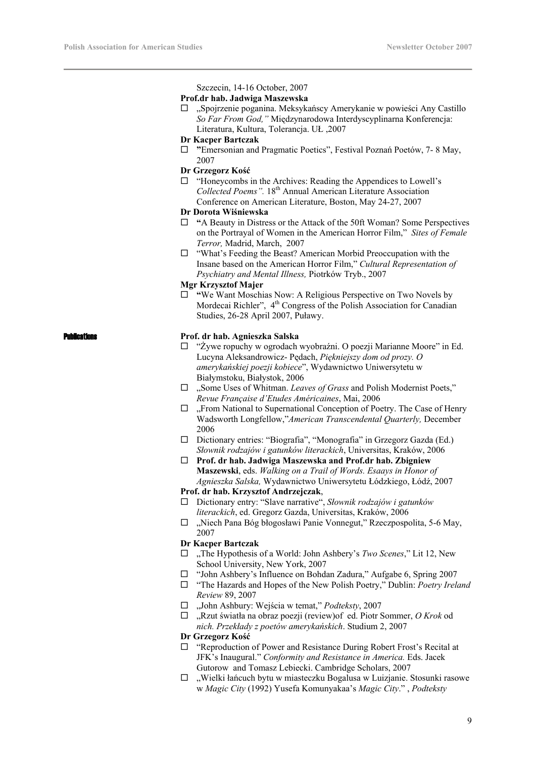Szczecin, 14-16 October, 2007

### **Prof.dr hab. Jadwiga Maszewska**

 $\Box$ , Spojrzenie poganina. Meksykańscy Amerykanie w powieści Any Castillo *So Far From God,"* Międzynarodowa Interdyscyplinarna Konferencja: Literatura, Kultura, Tolerancja. UŁ ,2007

## **Dr Kacper Bartczak**

 **"**Emersonian and Pragmatic Poetics", Festival Poznań Poetów, 7- 8 May, 2007

# **Dr Grzegorz Kość**

□ "Honeycombs in the Archives: Reading the Appendices to Lowell's *Collected Poems".* 18th Annual American Literature Association Conference on American Literature, Boston, May 24-27, 2007

# **Dr Dorota Wiśniewska**

- □ "A Beauty in Distress or the Attack of the 50ft Woman? Some Perspectives on the Portrayal of Women in the American Horror Film," *Sites of Female Terror,* Madrid, March, 2007
- $\Box$  "What's Feeding the Beast? American Morbid Preoccupation with the Insane based on the American Horror Film," *Cultural Representation of Psychiatry and Mental Illness,* Piotrków Tryb., 2007

# **Mgr Krzysztof Majer**

□ "We Want Moschias Now: A Religious Perspective on Two Novels by Mordecai Richler", 4<sup>th</sup> Congress of the Polish Association for Canadian Studies, 26-28 April 2007, Puławy.

# Publications **Prof. dr hab. Agnieszka Salska**

- □ "Żywe ropuchy w ogrodach wyobraźni. O poezji Marianne Moore" in Ed. Lucyna Aleksandrowicz- Pędach, *Piękniejszy dom od prozy. O amerykańskiej poezji kobiece*", Wydawnictwo Uniwersytetu w Białymstoku, Białystok, 2006
- □ . Some Uses of Whitman. *Leaves of Grass* and Polish Modernist Poets," *Revue Française d'Etudes Américaines*, Mai, 2006
- $\Box$ , From National to Supernational Conception of Poetry. The Case of Henry Wadsworth Longfellow,"*American Transcendental Quarterly,* December 2006
- Dictionary entries: "Biografia", "Monografia" in Grzegorz Gazda (Ed.) *Słownik rodzajów i gatunków literackich*, Universitas, Kraków, 2006
- **Prof. dr hab. Jadwiga Maszewska and Prof.dr hab. Zbigniew Maszewski**, eds. *Walking on a Trail of Words. Esaays in Honor of Agnieszka Salska,* Wydawnictwo Uniwersytetu Łódzkiego, Łódź, 2007

# **Prof. dr hab. Krzysztof Andrzejczak**,

- Dictionary entry: "Slave narrative", *Słownik rodzajów i gatunków literackich*, ed. Gregorz Gazda, Universitas, Kraków, 2006
- $\Box$ , Niech Pana Bóg błogosławi Panie Vonnegut," Rzeczpospolita, 5-6 May, 2007

# **Dr Kacper Bartczak**

- □ ,The Hypothesis of a World: John Ashbery's *Two Scenes*," Lit 12, New School University, New York, 2007
- □ "John Ashbery's Influence on Bohdan Zadura," Aufgabe 6, Spring 2007
- "The Hazards and Hopes of the New Polish Poetry," Dublin: *Poetry Ireland Review* 89, 2007
- "John Ashbury: Wejścia w temat," *Podteksty*, 2007
- "Rzut światła na obraz poezji (review)of ed. Piotr Sommer, *O Krok* od *nich. Przekłady z poetów amerykańskich*. Studium 2, 2007

# **Dr Grzegorz Kość**

- $\Box$  "Reproduction of Power and Resistance During Robert Frost's Recital at JFK's Inaugural." *Conformity and Resistance in America.* Eds. Jacek Gutorow and Tomasz Lebiecki. Cambridge Scholars, 2007
- $\Box$ , Wielki łańcuch bytu w miasteczku Bogalusa w Luizjanie. Stosunki rasowe w *Magic City* (1992) Yusefa Komunyakaa's *Magic City*." , *Podteksty*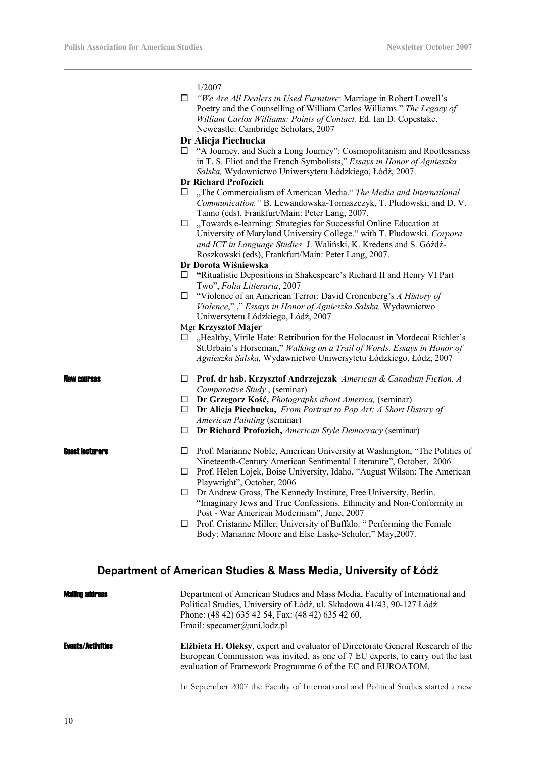1/2007

 *"We Are All Dealers in Used Furniture*: Marriage in Robert Lowell's Poetry and the Counselling of William Carlos Williams." *The Legacy of William Carlos Williams: Points of Contact.* Ed. Ian D. Copestake. Newcastle: Cambridge Scholars, 2007

## **Dr Alicja Piechucka**

□ "A Journey, and Such a Long Journey": Cosmopolitanism and Rootlessness in T. S. Eliot and the French Symbolists," *Essays in Honor of Agnieszka Salska,* Wydawnictwo Uniwersytetu Łódzkiego, Łódź, 2007.

# **Dr Richard Profozich**

- □ ,The Commercialism of American Media." *The Media and International Communication."* B. Lewandowska-Tomaszczyk, T. Pludowski, and D. V. Tanno (eds). Frankfurt/Main: Peter Lang, 2007.
- $\Box$ , Towards e-learning: Strategies for Successful Online Education at University of Maryland University College." with T. Pludowski. *Corpora and ICT in Language Studies.* J. Waliński, K. Kredens and S. Góźdź-Roszkowski (eds), Frankfurt/Main: Peter Lang, 2007.

### **Dr Dorota Wiśniewska**

- **"**Ritualistic Depositions in Shakespeare's Richard II and Henry VI Part Two", *Folia Litteraria*, 2007
- "Violence of an American Terror: David Cronenberg's *A History of Violence*," ," *Essays in Honor of Agnieszka Salska,* Wydawnictwo Uniwersytetu Łódzkiego, Łódź, 2007

# Mgr **Krzysztof Majer**

 $\Box$  . Healthy, Virile Hate: Retribution for the Holocaust in Mordecai Richler's St.Urbain's Horseman," *Walking on a Trail of Words. Essays in Honor of Agnieszka Salska,* Wydawnictwo Uniwersytetu Łódzkiego, Łódź, 2007

- New courses **Prof. dr hab. Krzysztof Andrzejczak** *American & Canadian Fiction. A Comparative Study* , (seminar)
	- **Dr Grzegorz Kość,** *Photographs about America,* (seminar)
	- **Dr Alicja Piechucka,** *From Portrait to Pop Art: A Short History of American Painting* (seminar)
	- **Dr Richard Profozich,** *American Style Democracy* (seminar)

- **Guest lecturers**  $\Box$  Prof. Marianne Noble, American University at Washington, "The Politics of Nineteenth-Century American Sentimental Literature", October, 2006
	- $\Box$  Prof. Helen Lojek, Boise University, Idaho, "August Wilson: The American Playwright", October, 2006
	- $\Box$  Dr Andrew Gross, The Kennedy Institute, Free University, Berlin. "Imaginary Jews and True Confessions. Ethnicity and Non-Conformity in Post - War American Modernism", June, 2007
	- Prof. Cristanne Miller, University of Buffalo. " Performing the Female Body: Marianne Moore and Else Laske-Schuler," May,2007.

# **Department of American Studies & Mass Media, University of Łódź**

| <b>Mailing address</b>   | Department of American Studies and Mass Media, Faculty of International and<br>Political Studies, University of Łódź, ul. Składowa 41/43, 90-127 Łódź<br>Phone: (48 42) 635 42 54, Fax: (48 42) 635 42 60,<br>Email: specamer@uni.lodz.pl |
|--------------------------|-------------------------------------------------------------------------------------------------------------------------------------------------------------------------------------------------------------------------------------------|
| <b>Events/Activities</b> | Elibieta H. Oleksy, expert and evaluator of Directorate General Research of the<br>European Commission was invited, as one of 7 EU experts, to carry out the last<br>evaluation of Framework Programme 6 of the EC and EUROATOM.          |
|                          | In September 2007 the Faculty of International and Political Studies started a new                                                                                                                                                        |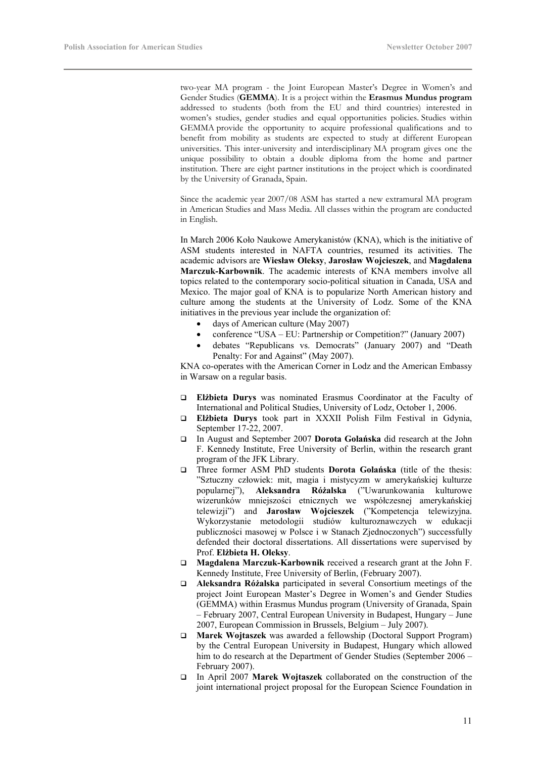two-year MA program - the Joint European Master's Degree in Women's and Gender Studies (**GEMMA**). It is a project within the **Erasmus Mundus program** addressed to students (both from the EU and third countries) interested in women's studies, gender studies and equal opportunities policies. Studies within GEMMA provide the opportunity to acquire professional qualifications and to benefit from mobility as students are expected to study at different European universities. This inter-university and interdisciplinary MA program gives one the unique possibility to obtain a double diploma from the home and partner institution. There are eight partner institutions in the project which is coordinated by the University of Granada, Spain.

Since the academic year 2007/08 ASM has started a new extramural MA program in American Studies and Mass Media. All classes within the program are conducted in English.

In March 2006 Koło Naukowe Amerykanistów (KNA), which is the initiative of ASM students interested in NAFTA countries, resumed its activities. The academic advisors are **Wiesław Oleksy**, **Jarosław Wojcieszek**, and **Magdalena Marczuk-Karbownik**. The academic interests of KNA members involve all topics related to the contemporary socio-political situation in Canada, USA and Mexico. The major goal of KNA is to popularize North American history and culture among the students at the University of Lodz. Some of the KNA initiatives in the previous year include the organization of:

- days of American culture (May 2007)
- conference "USA EU: Partnership or Competition?" (January 2007)
- debates "Republicans vs. Democrats" (January 2007) and "Death Penalty: For and Against" (May 2007).

KNA co-operates with the American Corner in Lodz and the American Embassy in Warsaw on a regular basis.

- **Elżbieta Durys** was nominated Erasmus Coordinator at the Faculty of International and Political Studies, University of Lodz, October 1, 2006.
- **Elżbieta Durys** took part in XXXII Polish Film Festival in Gdynia, September 17-22, 2007.
- In August and September 2007 **Dorota Golańska** did research at the John F. Kennedy Institute, Free University of Berlin, within the research grant program of the JFK Library.
- Three former ASM PhD students **Dorota Golańska** (title of the thesis: "Sztuczny człowiek: mit, magia i mistycyzm w amerykańskiej kulturze popularnej"), **Aleksandra Różalska** ("Uwarunkowania kulturowe wizerunków mniejszości etnicznych we współczesnej amerykańskiej telewizji") and **Jarosław Wojcieszek** ("Kompetencja telewizyjna. Wykorzystanie metodologii studiów kulturoznawczych w edukacji publiczności masowej w Polsce i w Stanach Zjednoczonych") successfully defended their doctoral dissertations. All dissertations were supervised by Prof. **Elżbieta H. Oleksy**.
- **Magdalena Marczuk-Karbownik** received a research grant at the John F. Kennedy Institute, Free University of Berlin, (February 2007).
- **Aleksandra Różalska** participated in several Consortium meetings of the project Joint European Master's Degree in Women's and Gender Studies (GEMMA) within Erasmus Mundus program (University of Granada, Spain – February 2007, Central European University in Budapest, Hungary – June 2007, European Commission in Brussels, Belgium – July 2007).
- **Marek Wojtaszek** was awarded a fellowship (Doctoral Support Program) by the Central European University in Budapest, Hungary which allowed him to do research at the Department of Gender Studies (September 2006 – February 2007).
- In April 2007 **Marek Wojtaszek** collaborated on the construction of the joint international project proposal for the European Science Foundation in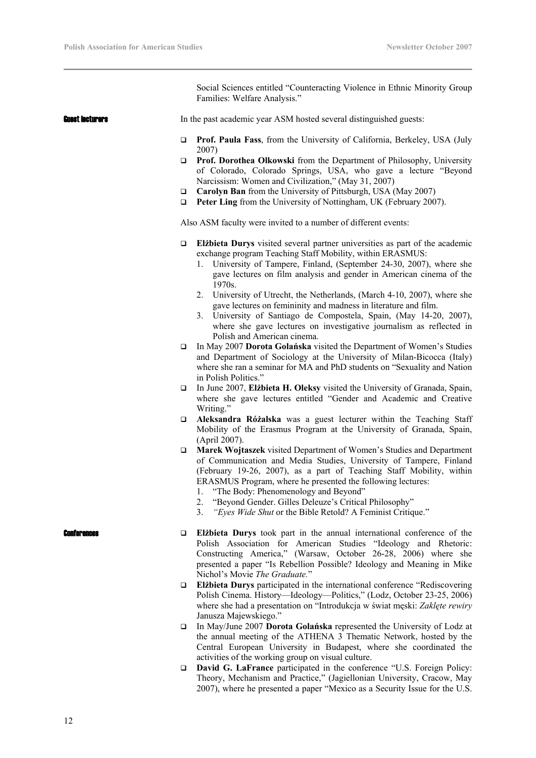Social Sciences entitled "Counteracting Violence in Ethnic Minority Group Families: Welfare Analysis."

|                    |        | Pallillus. Wullafu Aliafysis.                                                                                                                                                                                                                                                                                                                                                                                                                            |
|--------------------|--------|----------------------------------------------------------------------------------------------------------------------------------------------------------------------------------------------------------------------------------------------------------------------------------------------------------------------------------------------------------------------------------------------------------------------------------------------------------|
| Guest Iecturers    |        | In the past academic year ASM hosted several distinguished guests:                                                                                                                                                                                                                                                                                                                                                                                       |
|                    | $\Box$ | Prof. Paula Fass, from the University of California, Berkeley, USA (July<br>2007)                                                                                                                                                                                                                                                                                                                                                                        |
|                    | □      | Prof. Dorothea Olkowski from the Department of Philosophy, University<br>of Colorado, Colorado Springs, USA, who gave a lecture "Beyond<br>Narcissism: Women and Civilization," (May 31, 2007)                                                                                                                                                                                                                                                           |
|                    |        | Carolyn Ban from the University of Pittsburgh, USA (May 2007)                                                                                                                                                                                                                                                                                                                                                                                            |
|                    | □      | Peter Ling from the University of Nottingham, UK (February 2007).                                                                                                                                                                                                                                                                                                                                                                                        |
|                    |        | Also ASM faculty were invited to a number of different events:                                                                                                                                                                                                                                                                                                                                                                                           |
|                    | $\Box$ | Elizbieta Durys visited several partner universities as part of the academic<br>exchange program Teaching Staff Mobility, within ERASMUS:<br>1. University of Tampere, Finland, (September 24-30, 2007), where she<br>gave lectures on film analysis and gender in American cinema of the<br>1970s.                                                                                                                                                      |
|                    |        | 2. University of Utrecht, the Netherlands, (March 4-10, 2007), where she<br>gave lectures on femininity and madness in literature and film.<br>3. University of Santiago de Compostela, Spain, (May 14-20, 2007),<br>where she gave lectures on investigative journalism as reflected in<br>Polish and American cinema.                                                                                                                                  |
|                    | □      | In May 2007 Dorota Golańska visited the Department of Women's Studies<br>and Department of Sociology at the University of Milan-Bicocca (Italy)<br>where she ran a seminar for MA and PhD students on "Sexuality and Nation<br>in Polish Politics."                                                                                                                                                                                                      |
|                    | $\Box$ | In June 2007, Elżbieta H. Oleksy visited the University of Granada, Spain,<br>where she gave lectures entitled "Gender and Academic and Creative<br>Writing."                                                                                                                                                                                                                                                                                            |
|                    | □      | Aleksandra Różalska was a guest lecturer within the Teaching Staff<br>Mobility of the Erasmus Program at the University of Granada, Spain,<br>(April 2007).                                                                                                                                                                                                                                                                                              |
|                    | □      | Marek Wojtaszek visited Department of Women's Studies and Department<br>of Communication and Media Studies, University of Tampere, Finland<br>(February 19-26, 2007), as a part of Teaching Staff Mobility, within<br>ERASMUS Program, where he presented the following lectures:<br>1. "The Body: Phenomenology and Beyond"<br>"Beyond Gender. Gilles Deleuze's Critical Philosophy"<br>2<br>"Eyes Wide Shut or the Bible Retold? A Feminist Critique." |
| <b>Conferences</b> | ❏      | Elibieta Durys took part in the annual international conference of the<br>Polish Association for American Studies "Ideology and Rhetoric:<br>Constructing America," (Warsaw, October 26-28, 2006) where she<br>presented a paper "Is Rebellion Possible? Ideology and Meaning in Mike<br>Nichol's Movie The Graduate."                                                                                                                                   |
|                    | □      | Elżbieta Durys participated in the international conference "Rediscovering<br>Polish Cinema. History—Ideology—Politics," (Lodz, October 23-25, 2006)<br>where she had a presentation on "Introdukcja w świat męski: Zaklęte rewiry<br>Janusza Majewskiego."                                                                                                                                                                                              |
|                    | □      | In May/June 2007 Dorota Golańska represented the University of Lodz at<br>the annual meeting of the ATHENA 3 Thematic Network, hosted by the<br>Central European University in Budapest, where she coordinated the<br>activities of the working group on visual culture.                                                                                                                                                                                 |

 **David G. LaFrance** participated in the conference "U.S. Foreign Policy: Theory, Mechanism and Practice," (Jagiellonian University, Cracow, May 2007), where he presented a paper "Mexico as a Security Issue for the U.S.

12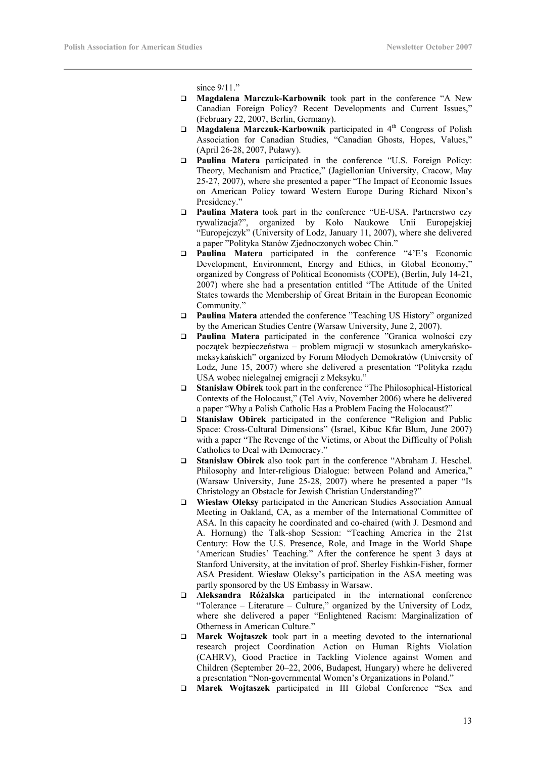since  $9/11$ ."

- **Magdalena Marczuk-Karbownik** took part in the conference "A New Canadian Foreign Policy? Recent Developments and Current Issues," (February 22, 2007, Berlin, Germany).
- □ **Magdalena Marczuk-Karbownik** participated in 4<sup>th</sup> Congress of Polish Association for Canadian Studies, "Canadian Ghosts, Hopes, Values," (April 26-28, 2007, Puławy).
- **Paulina Matera** participated in the conference "U.S. Foreign Policy: Theory, Mechanism and Practice," (Jagiellonian University, Cracow, May 25-27, 2007), where she presented a paper "The Impact of Economic Issues on American Policy toward Western Europe During Richard Nixon's Presidency."
- **Paulina Matera** took part in the conference "UE-USA. Partnerstwo czy rywalizacja?", organized by Koło Naukowe Unii Europejskiej "Europejczyk" (University of Lodz, January 11, 2007), where she delivered a paper "Polityka Stanów Zjednoczonych wobec Chin."
- **Paulina Matera** participated in the conference "4'E's Economic Development, Environment, Energy and Ethics, in Global Economy," organized by Congress of Political Economists (COPE), (Berlin, July 14-21, 2007) where she had a presentation entitled "The Attitude of the United States towards the Membership of Great Britain in the European Economic Community."
- **Paulina Matera** attended the conference "Teaching US History" organized by the American Studies Centre (Warsaw University, June 2, 2007).
- **Paulina Matera** participated in the conference "Granica wolności czy początek bezpieczeństwa – problem migracji w stosunkach amerykańskomeksykańskich" organized by Forum Młodych Demokratów (University of Lodz, June 15, 2007) where she delivered a presentation "Polityka rządu USA wobec nielegalnej emigracji z Meksyku."
- **Stanisław Obirek** took part in the conference "The Philosophical-Historical Contexts of the Holocaust," (Tel Aviv, November 2006) where he delivered a paper "Why a Polish Catholic Has a Problem Facing the Holocaust?"
- **Stanisław Obirek** participated in the conference "Religion and Public Space: Cross-Cultural Dimensions" (Israel, Kibuc Kfar Blum, June 2007) with a paper "The Revenge of the Victims, or About the Difficulty of Polish Catholics to Deal with Democracy."
- **Stanisław Obirek** also took part in the conference "Abraham J. Heschel. Philosophy and Inter-religious Dialogue: between Poland and America," (Warsaw University, June 25-28, 2007) where he presented a paper "Is Christology an Obstacle for Jewish Christian Understanding?"
- **Wiesław Oleksy** participated in the American Studies Association Annual Meeting in Oakland, CA, as a member of the International Committee of ASA. In this capacity he coordinated and co-chaired (with J. Desmond and A. Hornung) the Talk-shop Session: "Teaching America in the 21st Century: How the U.S. Presence, Role, and Image in the World Shape 'American Studies' Teaching." After the conference he spent 3 days at Stanford University, at the invitation of prof. Sherley Fishkin-Fisher, former ASA President. Wiesław Oleksy's participation in the ASA meeting was partly sponsored by the US Embassy in Warsaw.
- **Aleksandra Różalska** participated in the international conference "Tolerance – Literature – Culture," organized by the University of Lodz, where she delivered a paper "Enlightened Racism: Marginalization of Otherness in American Culture."
- **Marek Wojtaszek** took part in a meeting devoted to the international research project Coordination Action on Human Rights Violation (CAHRV), Good Practice in Tackling Violence against Women and Children (September 20–22, 2006, Budapest, Hungary) where he delivered a presentation "Non-governmental Women's Organizations in Poland."
- **Marek Wojtaszek** participated in III Global Conference "Sex and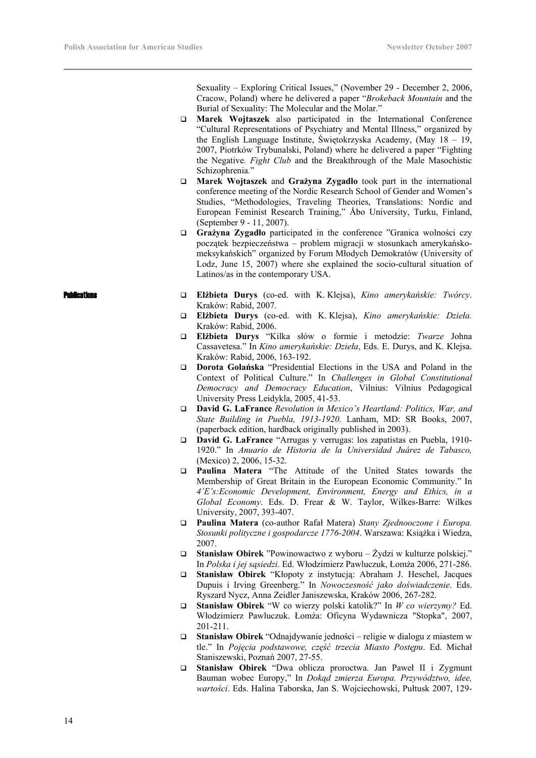Sexuality – Exploring Critical Issues," (November 29 - December 2, 2006, Cracow, Poland) where he delivered a paper "*Brokeback Mountain* and the Burial of Sexuality: The Molecular and the Molar."

- **Marek Wojtaszek** also participated in the International Conference "Cultural Representations of Psychiatry and Mental Illness," organized by the English Language Institute, Świętokrzyska Academy, (May 18 – 19, 2007, Piotrków Trybunalski, Poland) where he delivered a paper "Fighting the Negative*. Fight Club* and the Breakthrough of the Male Masochistic Schizophrenia*.*"
- **Marek Wojtaszek** and **Grażyna Zygadło** took part in the international conference meeting of the Nordic Research School of Gender and Women's Studies, "Methodologies, Traveling Theories, Translations: Nordic and European Feminist Research Training," Åbo University, Turku, Finland, (September 9 - 11, 2007).
- **Grażyna Zygadło** participated in the conference "Granica wolności czy początek bezpieczeństwa – problem migracji w stosunkach amerykańskomeksykańskich" organized by Forum Młodych Demokratów (University of Lodz, June 15, 2007) where she explained the socio-cultural situation of Latinos/as in the contemporary USA.
- Publications **Elżbieta Durys** (co-ed. with K. Klejsa), *Kino amerykańskie: Twórcy*. Kraków: Rabid, 2007.
	- **Elżbieta Durys** (co-ed. with K. Klejsa), *Kino amerykańskie: Dzieła.* Kraków: Rabid, 2006.
	- **Elżbieta Durys** "Kilka słów o formie i metodzie: *Twarze* Johna Cassavetesa." In *Kino amerykańskie: Dzieła*, Eds. E. Durys, and K. Klejsa. Kraków: Rabid, 2006, 163-192.
	- **Dorota Golańska** "Presidential Elections in the USA and Poland in the Context of Political Culture." In *Challenges in Global Constitutional Democracy and Democracy Education*, Vilnius: Vilnius Pedagogical University Press Leidykla, 2005, 41-53.
	- **David G. LaFrance** *Revolution in Mexico's Heartland: Politics, War, and State Building in Puebla, 1913-1920.* Lanham, MD: SR Books, 2007, (paperback edition, hardback originally published in 2003).
	- **David G. LaFrance** "Arrugas y verrugas: los zapatistas en Puebla, 1910- 1920." In *Anuario de Historia de la Universidad Juárez de Tabasco,* (Mexico) 2, 2006, 15-32.
	- **Paulina Matera** "The Attitude of the United States towards the Membership of Great Britain in the European Economic Community." In *4'E's:Economic Development, Environment, Energy and Ethics, in a Global Economy*. Eds. D. Frear & W. Taylor, Wilkes-Barre: Wilkes University, 2007, 393-407.
	- **Paulina Matera** (co-author Rafał Matera) *Stany Zjednooczone i Europa. Stosunki polityczne i gospodarcze 1776-2004*. Warszawa: Książka i Wiedza, 2007.
	- **Stanisław Obirek** "Powinowactwo z wyboru Żydzi w kulturze polskiej." In *Polska i jej sąsiedzi*. Ed. Włodzimierz Pawluczuk, Łomża 2006, 271-286.
	- **Stanisław Obirek** "Kłopoty z instytucją: Abraham J. Heschel, Jacques Dupuis i Irving Greenberg." In *Nowoczesność jako doświadczenie*. Eds. Ryszard Nycz, Anna Zeidler Janiszewska, Kraków 2006, 267-282.
	- **Stanisław Obirek** "W co wierzy polski katolik?" In *W co wierzymy?* Ed. Włodzimierz Pawluczuk. Łomża: Oficyna Wydawnicza "Stopka", 2007, 201-211.
	- **Stanisław Obirek** "Odnajdywanie jedności religie w dialogu z miastem w tle." In *Pojęcia podstawowe, część trzecia Miasto Postępu*. Ed. Michał Staniszewski, Poznań 2007, 27-55.
	- **Stanisław Obirek** "Dwa oblicza proroctwa. Jan Paweł II i Zygmunt Bauman wobec Europy," In *Dokąd zmierza Europa. Przywództwo, idee, wartości*. Eds. Halina Taborska, Jan S. Wojciechowski, Pułtusk 2007, 129-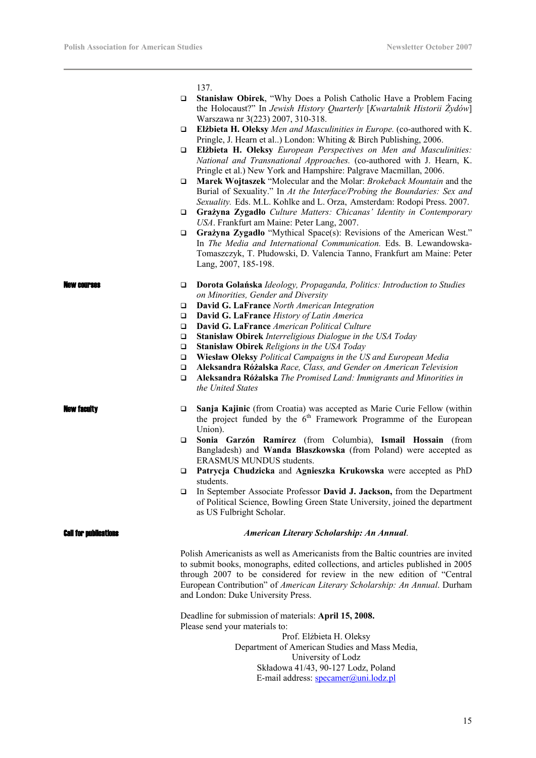137.

| $\Box$ | <b>Stanisław Obirek, "Why Does a Polish Catholic Have a Problem Facing</b> |
|--------|----------------------------------------------------------------------------|
|        | the Holocaust?" In Jewish History Quarterly [Kwartalnik Historii Żydów]    |
|        | Warszawa nr 3(223) 2007, 310-318.                                          |

- **Elżbieta H. Oleksy** *Men and Masculinities in Europe.* (co-authored with K. Pringle, J. Hearn et al..) London: Whiting & Birch Publishing, 2006.
- **Elżbieta H. Oleksy** *European Perspectives on Men and Masculinities: National and Transnational Approaches.* (co-authored with J. Hearn, K. Pringle et al.) New York and Hampshire: Palgrave Macmillan, 2006.
- **Marek Wojtaszek** "Molecular and the Molar: *Brokeback Mountain* and the Burial of Sexuality." In *At the Interface/Probing the Boundaries: Sex and Sexuality.* Eds. M.L. Kohlke and L. Orza, Amsterdam: Rodopi Press. 2007.
- **Grażyna Zygadło** *Culture Matters: Chicanas' Identity in Contemporary USA*. Frankfurt am Maine: Peter Lang, 2007.
- **Grażyna Zygadło** "Mythical Space(s): Revisions of the American West." In *The Media and International Communication.* Eds. B. Lewandowska-Tomaszczyk, T. Płudowski, D. Valencia Tanno, Frankfurt am Maine: Peter Lang, 2007, 185-198.

- New courses **Dorota Golańska** *Ideology, Propaganda, Politics: Introduction to Studies on Minorities, Gender and Diversity* 
	- **David G. LaFrance** *North American Integration*
	- **David G. LaFrance** *History of Latin America*
	- **David G. LaFrance** *American Political Culture*
	- **Stanisław Obirek** *Interreligious Dialogue in the USA Today*
	- **Stanisław Obirek** *Religions in the USA Today*
	- **Wiesław Oleksy** *Political Campaigns in the US and European Media*
	- **Aleksandra Różalska** *Race, Class, and Gender on American Television*
	- **Aleksandra Różalska** *The Promised Land: Immigrants and Minorities in the United States*

- New faculty **Sanja Kajinic** (from Croatia) was accepted as Marie Curie Fellow (within the project funded by the  $6<sup>th</sup>$  Framework Programme of the European Union).
	- **Sonia Garzón Ramírez** (from Columbia), **Ismail Hossain** (from Bangladesh) and **Wanda Błaszkowska** (from Poland) were accepted as ERASMUS MUNDUS students.
	- **Patrycja Chudzicka** and **Agnieszka Krukowska** were accepted as PhD students.
	- In September Associate Professor **David J. Jackson,** from the Department of Political Science, Bowling Green State University, joined the department as US Fulbright Scholar.

# Call for publications *American Literary Scholarship: An Annual*.

Polish Americanists as well as Americanists from the Baltic countries are invited to submit books, monographs, edited collections, and articles published in 2005 through 2007 to be considered for review in the new edition of "Central European Contribution" of *American Literary Scholarship: An Annual*. Durham and London: Duke University Press.

Deadline for submission of materials: **April 15, 2008.**  Please send your materials to: Prof. Elżbieta H. Oleksy Department of American Studies and Mass Media, University of Lodz Składowa 41/43, 90-127 Lodz, Poland

E-mail address: specamer@uni.lodz.pl

15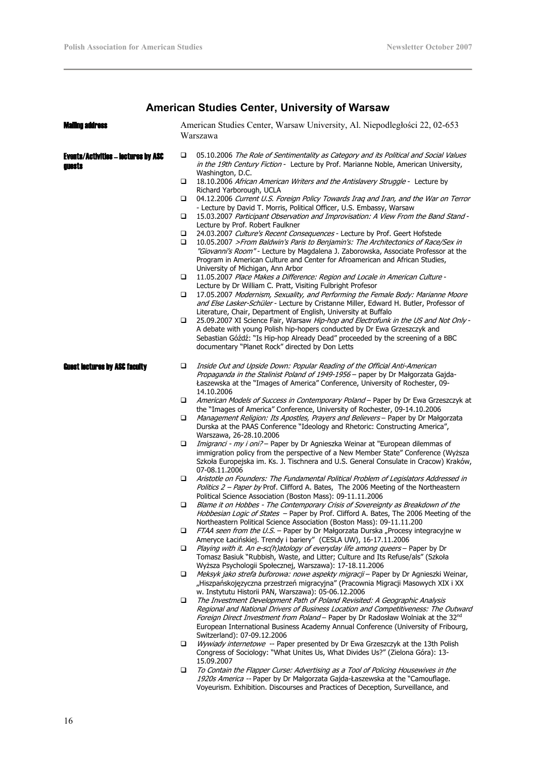# **American Studies Center, University of Warsaw**

| Maling address                                       |        | American Studies Center, Warsaw University, Al. Niepodległości 22, 02-653<br>Warszawa                                                                                                                                                                                                                                                                                      |
|------------------------------------------------------|--------|----------------------------------------------------------------------------------------------------------------------------------------------------------------------------------------------------------------------------------------------------------------------------------------------------------------------------------------------------------------------------|
| <b>Events/Activities - lectures by ASC</b><br>IUGSTS | □      | 05.10.2006 The Role of Sentimentality as Category and its Political and Social Values<br>in the 19th Century Fiction - Lecture by Prof. Marianne Noble, American University,<br>Washington, D.C.                                                                                                                                                                           |
|                                                      | ❏      | 18.10.2006 African American Writers and the Antislavery Struggle - Lecture by<br>Richard Yarborough, UCLA                                                                                                                                                                                                                                                                  |
|                                                      | □      | 04.12.2006 Current U.S. Foreign Policy Towards Iraq and Iran, and the War on Terror<br>- Lecture by David T. Morris, Political Officer, U.S. Embassy, Warsaw                                                                                                                                                                                                               |
|                                                      | ❏      | 15.03.2007 Participant Observation and Improvisation: A View From the Band Stand -<br>Lecture by Prof. Robert Faulkner                                                                                                                                                                                                                                                     |
|                                                      | □<br>❏ | 24.03.2007 Culture's Recent Consequences - Lecture by Prof. Geert Hofstede<br>10.05.2007 >From Baldwin's Paris to Benjamin's: The Architectonics of Race/Sex in<br>"Giovanni's Room" - Lecture by Magdalena J. Zaborowska, Associate Professor at the<br>Program in American Culture and Center for Afroamerican and African Studies,<br>University of Michigan, Ann Arbor |
|                                                      | □      | 11.05.2007 Place Makes a Difference: Region and Locale in American Culture -<br>Lecture by Dr William C. Pratt, Visiting Fulbright Profesor                                                                                                                                                                                                                                |
|                                                      | □      | 17.05.2007 Modernism, Sexuality, and Performing the Female Body: Marianne Moore<br>and Else Lasker-Schüler - Lecture by Cristanne Miller, Edward H. Butler, Professor of<br>Literature, Chair, Department of English, University at Buffalo                                                                                                                                |
|                                                      | $\Box$ | 25.09.2007 XI Science Fair, Warsaw Hip-hop and Electrofunk in the US and Not Only -<br>A debate with young Polish hip-hopers conducted by Dr Ewa Grzeszczyk and<br>Sebastian Góźdź: "Is Hip-hop Already Dead" proceeded by the screening of a BBC<br>documentary "Planet Rock" directed by Don Letts                                                                       |
| <b>Guest lectures by ASC faculty</b>                 | ❏      | Inside Out and Upside Down: Popular Reading of the Official Anti-American<br>Propaganda in the Stalinist Poland of 1949-1956 - paper by Dr Małgorzata Gajda-<br>Łaszewska at the "Images of America" Conference, University of Rochester, 09-<br>14.10.2006                                                                                                                |
|                                                      | ❏      | American Models of Success in Contemporary Poland - Paper by Dr Ewa Grzeszczyk at<br>the "Images of America" Conference, University of Rochester, 09-14.10.2006                                                                                                                                                                                                            |
|                                                      | □      | Management Religion: Its Apostles, Prayers and Believers - Paper by Dr Małgorzata<br>Durska at the PAAS Conference "Ideology and Rhetoric: Constructing America",<br>Warszawa, 26-28.10.2006                                                                                                                                                                               |
|                                                      | ❏      | Imigranci - my i oni? – Paper by Dr Agnieszka Weinar at "European dilemmas of<br>immigration policy from the perspective of a New Member State" Conference (Wyższa<br>Szkoła Europejska im. Ks. J. Tischnera and U.S. General Consulate in Cracow) Kraków,<br>07-08.11.2006                                                                                                |
|                                                      | ❏      | Aristotle on Founders: The Fundamental Political Problem of Legislators Addressed in<br>Politics 2 - Paper by Prof. Clifford A. Bates, The 2006 Meeting of the Northeastern<br>Political Science Association (Boston Mass): 09-11.11.2006                                                                                                                                  |
|                                                      | □      | Blame it on Hobbes - The Contemporary Crisis of Sovereignty as Breakdown of the<br>Hobbesian Logic of States - Paper by Prof. Clifford A. Bates, The 2006 Meeting of the<br>Northeastern Political Science Association (Boston Mass): 09-11.11.200                                                                                                                         |
|                                                      | ❏      | <i>FTAA seen from the U.S.</i> – Paper by Dr Małgorzata Durska "Procesy integracyjne w<br>Ameryce Łacińskiej. Trendy i bariery" (CESLA UW), 16-17.11.2006                                                                                                                                                                                                                  |
|                                                      | □      | Playing with it. An e-sc(h)atology of everyday life among queers - Paper by Dr<br>Tomasz Basiuk "Rubbish, Waste, and Litter; Culture and Its Refuse/als" (Szkoła<br>Wyższa Psychologii Społecznej, Warszawa): 17-18.11.2006                                                                                                                                                |
|                                                      | □      | Meksyk jako strefa buforowa: nowe aspekty migracji – Paper by Dr Agnieszki Weinar,<br>"Hiszpańskojęzyczna przestrzeń migracyjna" (Pracownia Migracji Masowych XIX i XX<br>w. Instytutu Historii PAN, Warszawa): 05-06.12.2006                                                                                                                                              |
|                                                      | ❏      | The Investment Development Path of Poland Revisited: A Geographic Analysis<br>Regional and National Drivers of Business Location and Competitiveness: The Outward<br>Foreign Direct Investment from Poland - Paper by Dr Radosław Wolniak at the 32nd<br>European International Business Academy Annual Conference (University of Fribourg,<br>Switzerland): 07-09.12.2006 |
|                                                      | ❏      | Wywiady internetowe -- Paper presented by Dr Ewa Grzeszczyk at the 13th Polish<br>Congress of Sociology: "What Unites Us, What Divides Us?" (Zielona Góra): 13-<br>15.09.2007                                                                                                                                                                                              |
|                                                      | ❏      | To Contain the Flapper Curse: Advertising as a Tool of Policing Housewives in the<br>1920s America -- Paper by Dr Małgorzata Gajda-Łaszewska at the "Camouflage.<br>Voyeurism. Exhibition. Discourses and Practices of Deception, Surveillance, and                                                                                                                        |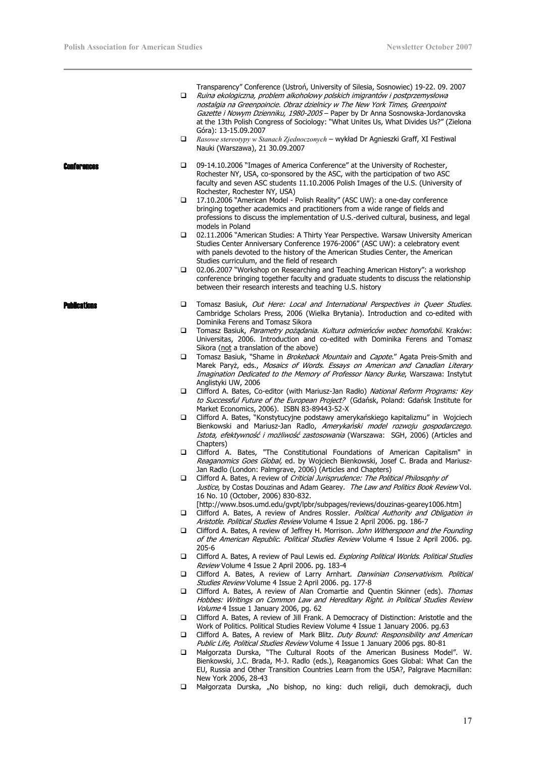Transparency" Conference (Ustroń, University of Silesia, Sosnowiec) 19-22. 09. 2007

- Ruina ekologiczna, problem alkoholowy polskich imigrantów i postprzemysłowa nostalgia na Greenpoincie. Obraz dzielnicy w The New York Times, Greenpoint Gazette i Nowym Dzienniku, 1980-2005 - Paper by Dr Anna Sosnowska-Jordanovska at the 13th Polish Congress of Sociology: "What Unites Us, What Divides Us?" (Zielona Góra): 13-15.09.2007
- *Rasowe stereotypy w Stanach Zjednoczonych* wykład Dr Agnieszki Graff, XI Festiwal Nauki (Warszawa), 21 30.09.2007

- Conferences **Conferences 1** 09-14.10.2006 "Images of America Conference" at the University of Rochester, Rochester NY, USA, co-sponsored by the ASC, with the participation of two ASC faculty and seven ASC students 11.10.2006 Polish Images of the U.S. (University of Rochester, Rochester NY, USA)
	- 17.10.2006 "American Model Polish Reality" (ASC UW): a one-day conference bringing together academics and practitioners from a wide range of fields and professions to discuss the implementation of U.S.-derived cultural, business, and legal models in Poland
	- 02.11.2006 "American Studies: A Thirty Year Perspective. Warsaw University American Studies Center Anniversary Conference 1976-2006" (ASC UW): a celebratory event with panels devoted to the history of the American Studies Center, the American Studies curriculum, and the field of research
	- 02.06.2007 "Workshop on Researching and Teaching American History": a workshop conference bringing together faculty and graduate students to discuss the relationship between their research interests and teaching U.S. history
	- **Ducations The Studies Constant Constant Constant** Cut Here: Local and International Perspectives in Queer Studies. Cambridge Scholars Press, 2006 (Wielka Brytania). Introduction and co-edited with Dominika Ferens and Tomasz Sikora
		- Tomasz Basiuk, Parametry pożądania. Kultura odmieńców wobec homofobii. Kraków: Universitas, 2006. Introduction and co-edited with Dominika Ferens and Tomasz Sikora (not a translation of the above)
		- **T** Tomasz Basiuk, "Shame in *Brokeback Mountain* and *Capote,"* Agata Preis-Smith and Marek Paryż, eds., Mosaics of Words. Essays on American and Canadian Literary Imagination Dedicated to the Memory of Professor Nancy Burke, Warszawa: Instytut Anglistyki UW, 2006
		- Clifford A. Bates, Co-editor (with Mariusz-Jan Radło) National Reform Programs: Key to Successful Future of the European Project? (Gdańsk, Poland: Gdańsk Institute for Market Economics, 2006). ISBN 83-89443-52-X
		- Clifford A. Bates, "Konstytucyjne podstawy amerykańskiego kapitalizmu" in Wojciech Bienkowski and Mariusz-Jan Radlo, Amerykański model rozwoju gospodarczego. Istota, efektywność i możliwość zastosowania (Warszawa: SGH, 2006) (Articles and Chapters)
		- Clifford A. Bates, "The Constitutional Foundations of American Capitalism" in Reaganomics Goes Global, ed. by Wojciech Bienkowski, Josef C. Brada and Mariusz-Jan Radlo (London: Palmgrave, 2006) (Articles and Chapters)
		- Clifford A. Bates, A review of Criticial Jurisprudence: The Political Philosophy of Justice, by Costas Douzinas and Adam Gearey. The Law and Politics Book Review Vol. 16 No. 10 (October, 2006) 830-832.
		- [http://www.bsos.umd.edu/gvpt/lpbr/subpages/reviews/douzinas-gearey1006.htm] Clifford A. Bates, A review of Andres Rossler. Political Authority and Obligation in
		- Aristotle. Political Studies Review Volume 4 Issue 2 April 2006. pg. 186-7 Clifford A. Bates, A review of Jeffrey H. Morrison. John Witherspoon and the Founding of the American Republic. Political Studies Review Volume 4 Issue 2 April 2006. pg. 205-6
		- □ Clifford A. Bates, A review of Paul Lewis ed. Exploring Political Worlds. Political Studies Review Volume 4 Issue 2 April 2006. pg. 183-4
		- Clifford A. Bates, A review of Larry Arnhart. Darwinian Conservativism. Political Studies Review Volume 4 Issue 2 April 2006. pg. 177-8
		- Clifford A. Bates, A review of Alan Cromartie and Quentin Skinner (eds). Thomas Hobbes: Writings on Common Law and Hereditary Right. in Political Studies Review Volume 4 Issue 1 January 2006, pg. 62
		- Clifford A. Bates, A review of Jill Frank. A Democracy of Distinction: Aristotle and the Work of Politics. Political Studies Review Volume 4 Issue 1 January 2006. pg.63
		- Clifford A. Bates, A review of Mark Blitz. Duty Bound: Responsibility and American Public Life, Political Studies Review Volume 4 Issue 1 January 2006 pgs. 80-81
		- Małgorzata Durska, "The Cultural Roots of the American Business Model". W. Bienkowski, J.C. Brada, M-J. Radlo (eds.), Reaganomics Goes Global: What Can the EU, Russia and Other Transition Countries Learn from the USA?, Palgrave Macmillan: New York 2006, 28-43
		- Małgorzata Durska, "No bishop, no king: duch religii, duch demokracji, duch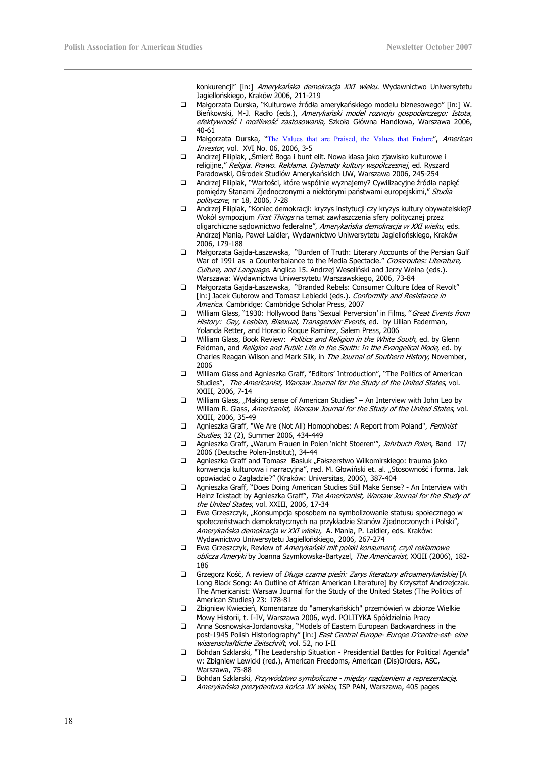konkurencji" [in:] Amerykańska demokracja XXI wieku. Wydawnictwo Uniwersytetu Jagiellońskiego, Kraków 2006, 211-219

- Małgorzata Durska, "Kulturowe źródła amerykańskiego modelu biznesowego" [in:] W. Bieńkowski, M-J. Radło (eds.), Amerykański model rozwoju gospodarczego: Istota, efektywność i możliwość zastosowania, Szkoła Główna Handlowa, Warszawa 2006, 40-61
- **I** Małgorzata Durska, "The Values that are Praised, the Values that Endure", American Investor, vol. XVI No. 06, 2006, 3-5
- □ Andrzej Filipiak, "Śmierć Boga i bunt elit. Nowa klasa jako zjawisko kulturowe i religijne," Religia. Prawo. Reklama. Dylematy kultury współczesnej, ed. Ryszard Paradowski, Ośrodek Studiów Amerykańskich UW, Warszawa 2006, 245-254
- Andrzej Filipiak, "Wartości, które wspólnie wyznajemy? Cywilizacyjne źródła napięć pomiędzy Stanami Zjednoczonymi a niektórymi państwami europejskimi," Studia polityczne, nr 18, 2006, 7-28
- Andrzej Filipiak, "Koniec demokracji: kryzys instytucji czy kryzys kultury obywatelskiej? Wokół sympozjum First Things na temat zawłaszczenia sfery politycznej przez oligarchiczne sądownictwo federalne", Amerykańska demokracja w XXI wieku, eds. Andrzej Mania, Paweł Laidler, Wydawnictwo Uniwersytetu Jagiellońskiego, Kraków 2006, 179-188
- Małgorzata Gajda-Łaszewska, "Burden of Truth: Literary Accounts of the Persian Gulf War of 1991 as a Counterbalance to the Media Spectacle." Crossroutes: Literature, Culture, and Language. Anglica 15. Andrzej Weseliński and Jerzy Wełna (eds.). Warszawa: Wydawnictwa Uniwersytetu Warszawskiego, 2006, 73-84
- Małgorzata Gajda-Łaszewska, "Branded Rebels: Consumer Culture Idea of Revolt" [in:] Jacek Gutorow and Tomasz Lebiecki (eds.). Conformity and Resistance in America. Cambridge: Cambridge Scholar Press, 2007
- □ William Glass, "1930: Hollywood Bans 'Sexual Perversion' in Films, "Great Events from History: Gay, Lesbian, Bisexual, Transgender Events, ed. by Lillian Faderman, Yolanda Retter, and Horacio Roque Ramírez, Salem Press, 2006
- □ William Glass, Book Review: *Politics and Religion in the White South*, ed. by Glenn Feldman, and Religion and Public Life in the South: In the Evangelical Mode, ed. by Charles Reagan Wilson and Mark Silk, in The Journal of Southern History, November, 2006
- William Glass and Agnieszka Graff, "Editors' Introduction", "The Politics of American Studies", The Americanist, Warsaw Journal for the Study of the United States, vol. XXIII, 2006, 7-14
- $\square$  William Glass, "Making sense of American Studies" An Interview with John Leo by William R. Glass, Americanist, Warsaw Journal for the Study of the United States, vol. XXIII, 2006, 35-49
- □ Agnieszka Graff, "We Are (Not All) Homophobes: A Report from Poland", Feminist Studies, 32 (2), Summer 2006, 434-449
- Agnieszka Graff, "Warum Frauen in Polen 'nicht Stoeren", Jahrbuch Polen, Band 17/ 2006 (Deutsche Polen-Institut), 34-44
- □ Agnieszka Graff and Tomasz Basiuk "Fałszerstwo Wilkomirskiego: trauma jako konwencja kulturowa i narracyjna", red. M. Głowiński et. al. "Stosowność i forma. Jak opowiadać o Zagładzie?" (Kraków: Universitas, 2006), 387-404
- Agnieszka Graff, "Does Doing American Studies Still Make Sense? An Interview with Heinz Ickstadt by Agnieszka Graff", The Americanist, Warsaw Journal for the Study of the United States, vol. XXIII, 2006, 17-34
- $\square$  Ewa Grzeszczyk, "Konsumpcja sposobem na symbolizowanie statusu społecznego w społeczeństwach demokratycznych na przykładzie Stanów Zjednoczonych i Polski", Amerykańska demokracja w XXI wieku, A. Mania, P. Laidler, eds. Kraków: Wydawnictwo Uniwersytetu Jagiellońskiego, 2006, 267-274
- □ Ewa Grzeszczyk, Review of Amerykański mit polski konsument, czyli reklamowe oblicza Ameryki by Joanna Szymkowska-Bartyzel, The Americanist, XXIII (2006), 182-186
- Grzegorz Kość, A review of *Długa czarna pieśń: Zarys literatury afroamerykańskiej* [A Long Black Song: An Outline of African American Literature] by Krzysztof Andrzejczak. The Americanist: Warsaw Journal for the Study of the United States (The Politics of American Studies) 23: 178-81
- Zbigniew Kwiecień, Komentarze do "amerykańskich" przemówień w zbiorze Wielkie Mowy Historii, t. I-IV, Warszawa 2006, wyd. POLITYKA Spółdzielnia Pracy
- Anna Sosnowska-Jordanovska, "Models of Eastern European Backwardness in the post-1945 Polish Historiography" [in:] East Central Europe- Europe D'centre-est- eine wissenschaftliche Zeitschrift, vol. 52, no I-II
- Bohdan Szklarski, "The Leadership Situation Presidential Battles for Political Agenda" w: Zbigniew Lewicki (red.), American Freedoms, American (Dis)Orders, ASC, Warszawa, 75-88
- Bohdan Szklarski, Przywództwo symboliczne między rządzeniem a reprezentacją. Amerykańska prezydentura końca XX wieku, ISP PAN, Warszawa, 405 pages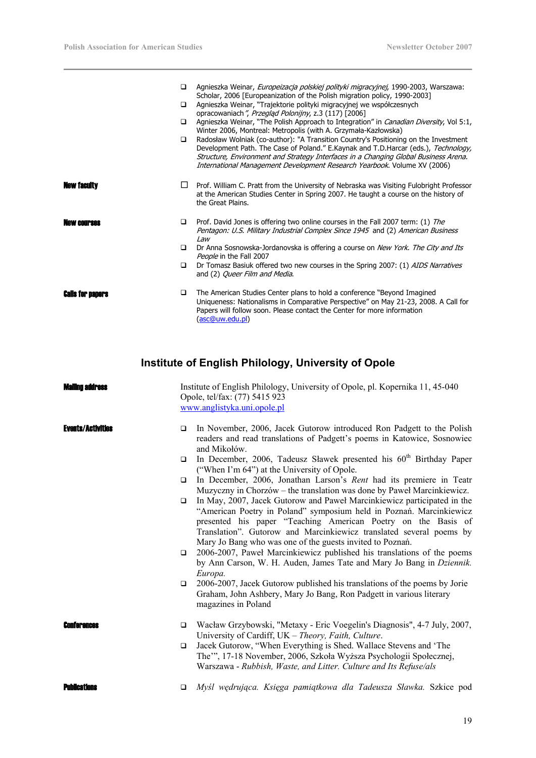| □<br>$\Box$<br>▫<br>□ | Agnieszka Weinar, Europeizacja polskiej polityki migracyjnej, 1990-2003, Warszawa:<br>Scholar, 2006 [Europeanization of the Polish migration policy, 1990-2003]<br>Agnieszka Weinar, "Trajektorie polityki migracyjnej we współczesnych<br>opracowaniach", Przegląd Polonijny, z.3 (117) [2006]<br>Agnieszka Weinar, "The Polish Approach to Integration" in <i>Canadian Diversity</i> , Vol 5:1,<br>Winter 2006, Montreal: Metropolis (with A. Grzymała-Kazłowska)<br>Radosław Wolniak (co-author): "A Transition Country's Positioning on the Investment<br>Development Path. The Case of Poland." E.Kaynak and T.D.Harcar (eds.), Technology,<br>Structure, Environment and Strategy Interfaces in a Changing Global Business Arena.<br>International Management Development Research Yearbook. Volume XV (2006) |
|-----------------------|---------------------------------------------------------------------------------------------------------------------------------------------------------------------------------------------------------------------------------------------------------------------------------------------------------------------------------------------------------------------------------------------------------------------------------------------------------------------------------------------------------------------------------------------------------------------------------------------------------------------------------------------------------------------------------------------------------------------------------------------------------------------------------------------------------------------|
| ⊔                     | Prof. William C. Pratt from the University of Nebraska was Visiting Fulobright Professor<br>at the American Studies Center in Spring 2007. He taught a course on the history of<br>the Great Plains.                                                                                                                                                                                                                                                                                                                                                                                                                                                                                                                                                                                                                |
| ▫<br>$\Box$<br>$\Box$ | Prof. David Jones is offering two online courses in the Fall 2007 term: (1) The<br>Pentagon: U.S. Military Industrial Complex Since 1945 and (2) American Business<br>Law<br>Dr Anna Sosnowska-Jordanovska is offering a course on New York. The City and Its<br>People in the Fall 2007<br>Dr Tomasz Basiuk offered two new courses in the Spring 2007: (1) AIDS Narratives                                                                                                                                                                                                                                                                                                                                                                                                                                        |
| □                     | and (2) Queer Film and Media.<br>The American Studies Center plans to hold a conference "Beyond Imagined"<br>Uniqueness: Nationalisms in Comparative Perspective" on May 21-23, 2008. A Call for<br>Papers will follow soon. Please contact the Center for more information<br>(asc@uw.edu.pl)                                                                                                                                                                                                                                                                                                                                                                                                                                                                                                                      |
|                       |                                                                                                                                                                                                                                                                                                                                                                                                                                                                                                                                                                                                                                                                                                                                                                                                                     |

# **Institute of English Philology, University of Opole**

| Walling address          | Institute of English Philology, University of Opole, pl. Kopernika 11, 45-040<br>Opole, tel/fax: (77) 5415 923<br>www.anglistyka.uni.opole.pl                                                                                                                                                                                                                 |
|--------------------------|---------------------------------------------------------------------------------------------------------------------------------------------------------------------------------------------------------------------------------------------------------------------------------------------------------------------------------------------------------------|
| <b>Events/Activities</b> | In November, 2006, Jacek Gutorow introduced Ron Padgett to the Polish<br>□<br>readers and read translations of Padgett's poems in Katowice, Sosnowiec<br>and Mikołów.                                                                                                                                                                                         |
|                          | In December, 2006, Tadeusz Sławek presented his 60 <sup>th</sup> Birthday Paper<br>$\Box$<br>("When I'm 64") at the University of Opole.                                                                                                                                                                                                                      |
|                          | In December, 2006, Jonathan Larson's Rent had its premiere in Teatr<br>$\Box$<br>Muzyczny in Chorzów – the translation was done by Paweł Marcinkiewicz.                                                                                                                                                                                                       |
|                          | In May, 2007, Jacek Gutorow and Paweł Marcinkiewicz participated in the<br>$\Box$<br>"American Poetry in Poland" symposium held in Poznań. Marcinkiewicz<br>presented his paper "Teaching American Poetry on the Basis of<br>Translation". Gutorow and Marcinkiewicz translated several poems by<br>Mary Jo Bang who was one of the guests invited to Poznań. |
|                          | 2006-2007, Paweł Marcinkiewicz published his translations of the poems<br>$\Box$<br>by Ann Carson, W. H. Auden, James Tate and Mary Jo Bang in Dziennik.<br>Europa.                                                                                                                                                                                           |
|                          | 2006-2007, Jacek Gutorow published his translations of the poems by Jorie<br>$\Box$<br>Graham, John Ashbery, Mary Jo Bang, Ron Padgett in various literary<br>magazines in Poland                                                                                                                                                                             |
|                          | Wacław Grzybowski, "Metaxy - Eric Voegelin's Diagnosis", 4-7 July, 2007,<br>$\Box$<br>University of Cardiff, UK - Theory, Faith, Culture.                                                                                                                                                                                                                     |
|                          | Jacek Gutorow, "When Everything is Shed. Wallace Stevens and 'The<br>$\Box$<br>The"", 17-18 November, 2006, Szkoła Wyższa Psychologii Społecznej,<br>Warszawa - Rubbish, Waste, and Litter. Culture and Its Refuse/als                                                                                                                                        |
| <b>Punneations</b>       | Myśl wędrująca. Księga pamiątkowa dla Tadeusza Sławka. Szkice pod<br>$\Box$                                                                                                                                                                                                                                                                                   |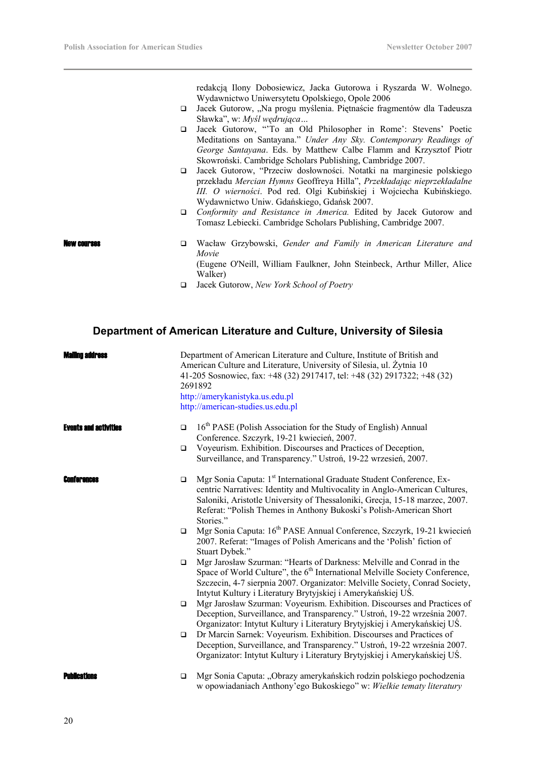redakcją Ilony Dobosiewicz, Jacka Gutorowa i Ryszarda W. Wolnego. Wydawnictwo Uniwersytetu Opolskiego, Opole 2006

- □ Jacek Gutorow, "Na progu myślenia. Piętnaście fragmentów dla Tadeusza Sławka", w: *Myśl wędrująca…*
- Jacek Gutorow, "'To an Old Philosopher in Rome': Stevens' Poetic Meditations on Santayana." *Under Any Sky. Contemporary Readings of George Santayana*. Eds. by Matthew Calbe Flamm and Krzysztof Piotr Skowroński. Cambridge Scholars Publishing, Cambridge 2007.
- Jacek Gutorow, "Przeciw dosłowności. Notatki na marginesie polskiego przekładu *Mercian Hymns* Geoffreya Hilla", *Przekładając nieprzekładalne III. O wierności*. Pod red. Olgi Kubińskiej i Wojciecha Kubińskiego. Wydawnictwo Uniw. Gdańskiego, Gdańsk 2007.
- *Conformity and Resistance in America.* Edited by Jacek Gutorow and Tomasz Lebiecki. Cambridge Scholars Publishing, Cambridge 2007.
- New courses Wacław Grzybowski, *Gender and Family in American Literature and Movie*

(Eugene O'Neill, William Faulkner, John Steinbeck, Arthur Miller, Alice Walker)

Jacek Gutorow, *New York School of Poetry* 

# **Department of American Literature and Culture, University of Silesia**

| Mailinn annrass              | Department of American Literature and Culture, Institute of British and<br>American Culture and Literature, University of Silesia, ul. Żytnia 10<br>41-205 Sosnowiec, fax: +48 (32) 2917417, tel: +48 (32) 2917322; +48 (32)<br>2691892<br>http://amerykanistyka.us.edu.pl<br>http://american-studies.us.edu.pl |                                                                                                                                                                                                                                                                                                                                  |
|------------------------------|-----------------------------------------------------------------------------------------------------------------------------------------------------------------------------------------------------------------------------------------------------------------------------------------------------------------|----------------------------------------------------------------------------------------------------------------------------------------------------------------------------------------------------------------------------------------------------------------------------------------------------------------------------------|
| <b>Events and activities</b> | $\Box$                                                                                                                                                                                                                                                                                                          | 16 <sup>th</sup> PASE (Polish Association for the Study of English) Annual<br>Conference. Szczyrk, 19-21 kwiecień, 2007.                                                                                                                                                                                                         |
|                              | $\Box$                                                                                                                                                                                                                                                                                                          | Voyeurism. Exhibition. Discourses and Practices of Deception,<br>Surveillance, and Transparency." Ustroń, 19-22 wrzesień, 2007.                                                                                                                                                                                                  |
| <b>ENITR' BILBAS</b>         | $\Box$                                                                                                                                                                                                                                                                                                          | Mgr Sonia Caputa: 1 <sup>st</sup> International Graduate Student Conference, Ex-<br>centric Narratives: Identity and Multivocality in Anglo-American Cultures,<br>Saloniki, Aristotle University of Thessaloniki, Grecja, 15-18 marzec, 2007.<br>Referat: "Polish Themes in Anthony Bukoski's Polish-American Short<br>Stories." |
|                              | $\Box$                                                                                                                                                                                                                                                                                                          | Mgr Sonia Caputa: 16 <sup>th</sup> PASE Annual Conference, Szczyrk, 19-21 kwiecień<br>2007. Referat: "Images of Polish Americans and the 'Polish' fiction of<br>Stuart Dybek."                                                                                                                                                   |
|                              | $\Box$                                                                                                                                                                                                                                                                                                          | Mgr Jarosław Szurman: "Hearts of Darkness: Melville and Conrad in the<br>Space of World Culture", the 6 <sup>th</sup> International Melville Society Conference,<br>Szczecin, 4-7 sierpnia 2007. Organizator: Melville Society, Conrad Society,<br>Intytut Kultury i Literatury Brytyjskiej i Amerykańskiej US.                  |
|                              | $\Box$                                                                                                                                                                                                                                                                                                          | Mgr Jarosław Szurman: Voyeurism. Exhibition. Discourses and Practices of<br>Deception, Surveillance, and Transparency." Ustroń, 19-22 września 2007.<br>Organizator: Intytut Kultury i Literatury Brytyjskiej i Amerykańskiej UŚ.                                                                                                |
|                              | $\Box$                                                                                                                                                                                                                                                                                                          | Dr Marcin Sarnek: Voyeurism. Exhibition. Discourses and Practices of<br>Deception, Surveillance, and Transparency." Ustroń, 19-22 września 2007.<br>Organizator: Intytut Kultury i Literatury Brytyjskiej i Amerykańskiej US.                                                                                                    |
| Pilhileation                 | $\Box$                                                                                                                                                                                                                                                                                                          | Mgr Sonia Caputa: "Obrazy amerykańskich rodzin polskiego pochodzenia<br>w opowiadaniach Anthony'ego Bukoskiego" w: Wielkie tematy literatury                                                                                                                                                                                     |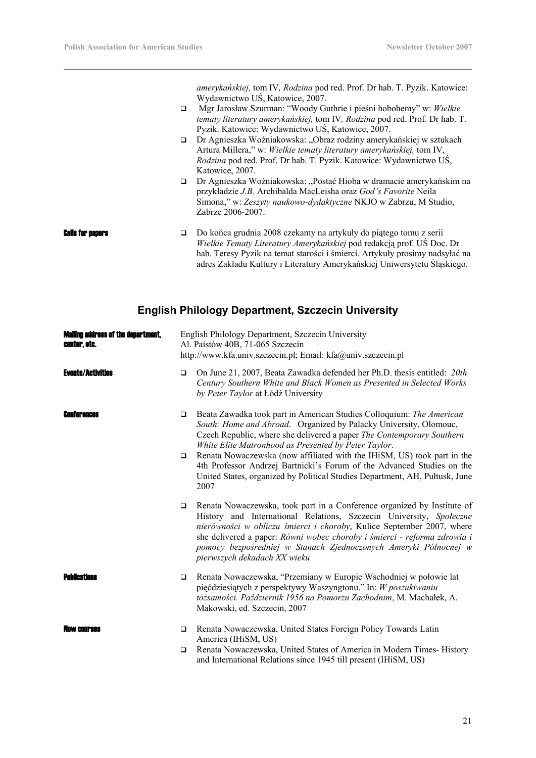*amerykańskiej,* tom IV*, Rodzina* pod red. Prof. Dr hab. T. Pyzik. Katowice: Wydawnictwo UŚ, Katowice, 2007.

- Mgr Jarosław Szurman: "Woody Guthrie i pieśni hobohemy" w: *Wielkie tematy literatury amerykańskiej,* tom IV*, Rodzina* pod red. Prof. Dr hab. T. Pyzik. Katowice: Wydawnictwo UŚ, Katowice, 2007.
- □ Dr Agnieszka Woźniakowska: "Obraz rodziny amerykańskiej w sztukach Artura Millera," w: *Wielkie tematy literatury amerykańskiej,* tom IV, *Rodzina* pod red. Prof. Dr hab. T. Pyzik. Katowice: Wydawnictwo UŚ, Katowice, 2007.
- □ Dr Agnieszka Woźniakowska: "Postać Hioba w dramacie amerykańskim na przykładzie *J.B.* Archibalda MacLeisha oraz *God's Favorite* Neila Simona," w: *Zeszyty naukowo-dydaktyczne* NKJO w Zabrzu, M Studio, Zabrze 2006-2007.
- **Calls for papers**  $\Box$  Do końca grudnia 2008 czekamy na artykuły do piątego tomu z serii *Wielkie Tematy Literatury Amerykańskiej* pod redakcją prof. UŚ Doc. Dr hab. Teresy Pyzik na temat starości i śmierci. Artykuły prosimy nadsyłać na adres Zakładu Kultury i Literatury Amerykańskiej Uniwersytetu Śląskiego.

# **English Philology Department, Szczecin University**

| <b>Mailing address of the department,</b><br>center, etc. | English Philology Department, Szczecin University<br>Al. Paistów 40B, 71-065 Szczecin<br>http://www.kfa.univ.szczecin.pl; Email: kfa@univ.szczecin.pl |                                                                                                                                                                                                                                                                                                                                                                                                                                                                                                                        |  |  |
|-----------------------------------------------------------|-------------------------------------------------------------------------------------------------------------------------------------------------------|------------------------------------------------------------------------------------------------------------------------------------------------------------------------------------------------------------------------------------------------------------------------------------------------------------------------------------------------------------------------------------------------------------------------------------------------------------------------------------------------------------------------|--|--|
| <b>Events/Activities</b>                                  | $\Box$                                                                                                                                                | On June 21, 2007, Beata Zawadka defended her Ph.D. thesis entitled: 20th<br>Century Southern White and Black Women as Presented in Selected Works<br>by Peter Taylor at Łódź University                                                                                                                                                                                                                                                                                                                                |  |  |
| Conterences                                               | $\Box$<br>$\Box$                                                                                                                                      | Beata Zawadka took part in American Studies Colloquium: The American<br>South: Home and Abroad. Organized by Palacky University, Olomouc,<br>Czech Republic, where she delivered a paper The Contemporary Southern<br>White Elite Matronhood as Presented by Peter Taylor.<br>Renata Nowaczewska (now affiliated with the IHiSM, US) took part in the<br>4th Professor Andrzej Bartnicki's Forum of the Advanced Studies on the<br>United States, organized by Political Studies Department, AH, Pułtusk, June<br>2007 |  |  |
|                                                           | $\Box$                                                                                                                                                | Renata Nowaczewska, took part in a Conference organized by Institute of<br>History and International Relations, Szczecin University, Społeczne<br>nierówności w obliczu śmierci i choroby, Kulice September 2007, where<br>she delivered a paper: Równi wobec choroby i śmierci - reforma zdrowia i<br>pomocy bezpośredniej w Stanach Zjednoczonych Ameryki Północnej w<br>pierwszych dekadach XX wieku                                                                                                                |  |  |
| Puhileatione                                              | $\Box$                                                                                                                                                | Renata Nowaczewska, "Przemiany w Europie Wschodniej w połowie lat<br>pięćdziesiątych z perspektywy Waszyngtonu." In: W poszukiwaniu<br>tożsamości. Październik 1956 na Pomorzu Zachodnim, M. Machałek, A.<br>Makowski, ed. Szczecin, 2007                                                                                                                                                                                                                                                                              |  |  |
| NAW CAIIPRAR                                              | $\Box$<br>◘                                                                                                                                           | Renata Nowaczewska, United States Foreign Policy Towards Latin<br>America (IHiSM, US)<br>Renata Nowaczewska, United States of America in Modern Times-History<br>and International Relations since 1945 till present (IHiSM, US)                                                                                                                                                                                                                                                                                       |  |  |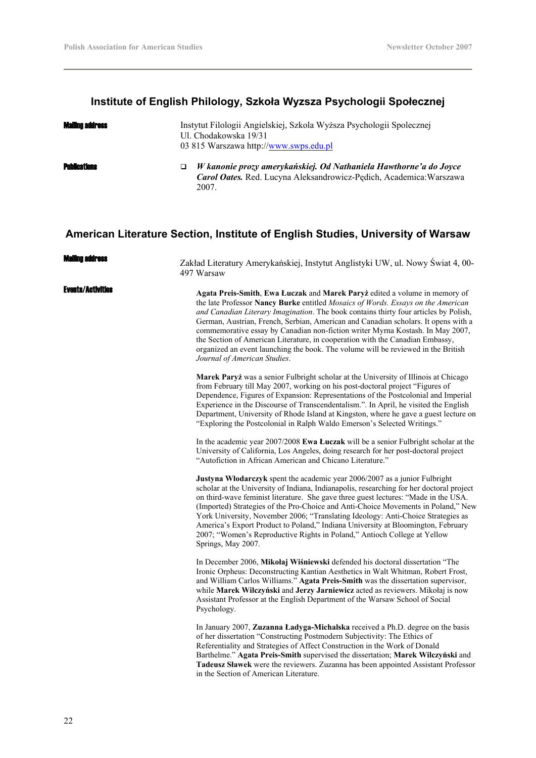# **Institute of English Philology, Szkoła Wyzsza Psychologii Społecznej**

| <b>Mailing address</b> | Instytut Filologii Angielskiej, Szkola Wyższa Psychologii Społecznej<br>Ul. Chodakowska 19/31<br>03 815 Warszawa http://www.swps.edu.pl           |
|------------------------|---------------------------------------------------------------------------------------------------------------------------------------------------|
| <b>Publications</b>    | W kanonie prozy amerykańskiej. Od Nathaniela Hawthorne'a do Joyce<br>Carol Oates. Red. Lucyna Aleksandrowicz-Pędich, Academica: Warszawa<br>2007. |

# **American Literature Section, Institute of English Studies, University of Warsaw**

| Maliino address          | Zakład Literatury Amerykańskiej, Instytut Anglistyki UW, ul. Nowy Świat 4, 00-<br>497 Warsaw                                                                                                                                                                                                                                                                                                                                                                                                                                                                                                                                         |
|--------------------------|--------------------------------------------------------------------------------------------------------------------------------------------------------------------------------------------------------------------------------------------------------------------------------------------------------------------------------------------------------------------------------------------------------------------------------------------------------------------------------------------------------------------------------------------------------------------------------------------------------------------------------------|
| <b>Events/Activities</b> | Agata Preis-Smith, Ewa Łuczak and Marek Paryż edited a volume in memory of<br>the late Professor Nancy Burke entitled Mosaics of Words. Essays on the American<br>and Canadian Literary Imagination. The book contains thirty four articles by Polish,<br>German, Austrian, French, Serbian, American and Canadian scholars. It opens with a<br>commemorative essay by Canadian non-fiction writer Myrna Kostash. In May 2007,<br>the Section of American Literature, in cooperation with the Canadian Embassy,<br>organized an event launching the book. The volume will be reviewed in the British<br>Journal of American Studies. |
|                          | Marek Paryż was a senior Fulbright scholar at the University of Illinois at Chicago<br>from February till May 2007, working on his post-doctoral project "Figures of<br>Dependence, Figures of Expansion: Representations of the Postcolonial and Imperial<br>Experience in the Discourse of Transcendentalism.". In April, he visited the English<br>Department, University of Rhode Island at Kingston, where he gave a guest lecture on<br>"Exploring the Postcolonial in Ralph Waldo Emerson's Selected Writings."                                                                                                               |
|                          | In the academic year 2007/2008 Ewa Łuczak will be a senior Fulbright scholar at the<br>University of California, Los Angeles, doing research for her post-doctoral project<br>"Autofiction in African American and Chicano Literature."                                                                                                                                                                                                                                                                                                                                                                                              |
|                          | Justyna Włodarczyk spent the academic year 2006/2007 as a junior Fulbright<br>scholar at the University of Indiana, Indianapolis, researching for her doctoral project<br>on third-wave feminist literature. She gave three guest lectures: "Made in the USA.<br>(Imported) Strategies of the Pro-Choice and Anti-Choice Movements in Poland," New<br>York University, November 2006; "Translating Ideology: Anti-Choice Strategies as<br>America's Export Product to Poland," Indiana University at Bloomington, February<br>2007; "Women's Reproductive Rights in Poland," Antioch College at Yellow<br>Springs, May 2007.         |
|                          | In December 2006, Mikołaj Wiśniewski defended his doctoral dissertation "The<br>Ironic Orpheus: Deconstructing Kantian Aesthetics in Walt Whitman, Robert Frost,<br>and William Carlos Williams." Agata Preis-Smith was the dissertation supervisor,<br>while Marek Wilczyński and Jerzy Jarniewicz acted as reviewers. Mikołaj is now<br>Assistant Professor at the English Department of the Warsaw School of Social<br>Psychology.                                                                                                                                                                                                |
|                          | In January 2007, Zuzanna Ładyga-Michalska received a Ph.D. degree on the basis<br>of her dissertation "Constructing Postmodern Subjectivity: The Ethics of<br>Referentiality and Strategies of Affect Construction in the Work of Donald<br>Barthelme." Agata Preis-Smith supervised the dissertation; Marek Wilczyński and<br>Tadeusz Sławek were the reviewers. Zuzanna has been appointed Assistant Professor<br>in the Section of American Literature.                                                                                                                                                                           |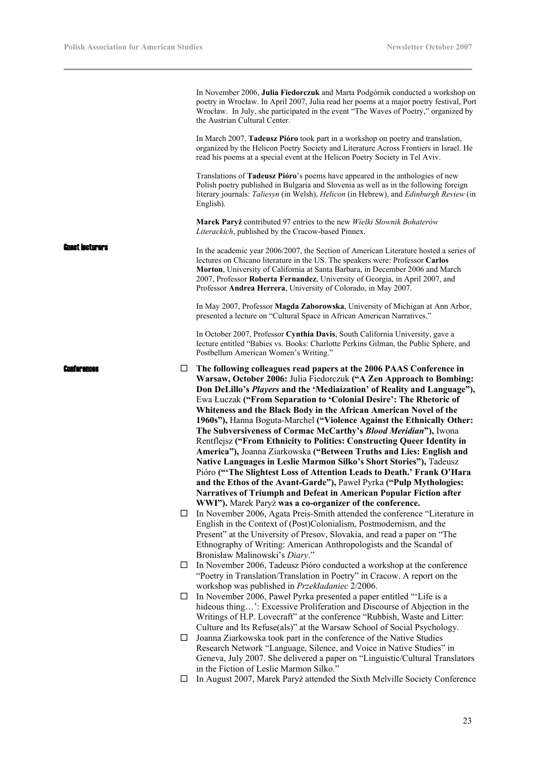|                      |        | In November 2006, Julia Fiedorczuk and Marta Podgórnik conducted a workshop on<br>poetry in Wrocław. In April 2007, Julia read her poems at a major poetry festival, Port<br>Wrocław. In July, she participated in the event "The Waves of Poetry," organized by<br>the Austrian Cultural Center.<br>In March 2007, <b>Tadeusz Pióro</b> took part in a workshop on poetry and translation,<br>organized by the Helicon Poetry Society and Literature Across Frontiers in Israel. He<br>read his poems at a special event at the Helicon Poetry Society in Tel Aviv.<br>Translations of Tadeusz Pióro's poems have appeared in the anthologies of new<br>Polish poetry published in Bulgaria and Slovenia as well as in the following foreign<br>literary journals: Taliesyn (in Welsh), Helicon (in Hebrew), and Edinburgh Review (in<br>English).<br>Marek Paryż contributed 97 entries to the new Wielki Słownik Bohaterów                                                                                           |
|----------------------|--------|-------------------------------------------------------------------------------------------------------------------------------------------------------------------------------------------------------------------------------------------------------------------------------------------------------------------------------------------------------------------------------------------------------------------------------------------------------------------------------------------------------------------------------------------------------------------------------------------------------------------------------------------------------------------------------------------------------------------------------------------------------------------------------------------------------------------------------------------------------------------------------------------------------------------------------------------------------------------------------------------------------------------------|
|                      |        | Literackich, published by the Cracow-based Pinnex.                                                                                                                                                                                                                                                                                                                                                                                                                                                                                                                                                                                                                                                                                                                                                                                                                                                                                                                                                                      |
| Euest Iecturers      |        | In the academic year 2006/2007, the Section of American Literature hosted a series of<br>lectures on Chicano literature in the US. The speakers were: Professor Carlos<br>Morton, University of California at Santa Barbara, in December 2006 and March<br>2007, Professor Roberta Fernandez, University of Georgia, in April 2007, and<br>Professor Andrea Herrera, University of Colorado, in May 2007.                                                                                                                                                                                                                                                                                                                                                                                                                                                                                                                                                                                                               |
|                      |        | In May 2007, Professor Magda Zaborowska, University of Michigan at Ann Arbor,<br>presented a lecture on "Cultural Space in African American Narratives."                                                                                                                                                                                                                                                                                                                                                                                                                                                                                                                                                                                                                                                                                                                                                                                                                                                                |
|                      |        | In October 2007, Professor Cynthia Davis, South California University, gave a<br>lecture entitled "Babies vs. Books: Charlotte Perkins Gilman, the Public Sphere, and<br>Postbellum American Women's Writing."                                                                                                                                                                                                                                                                                                                                                                                                                                                                                                                                                                                                                                                                                                                                                                                                          |
| <b>FOUT BY BOOKS</b> | ப      | The following colleagues read papers at the 2006 PAAS Conference in<br>Warsaw, October 2006: Julia Fiedorczuk ("A Zen Approach to Bombing:<br>Don DeLillo's Players and the 'Mediaization' of Reality and Language"),<br>Ewa Łuczak ("From Separation to 'Colonial Desire': The Rhetoric of<br>Whiteness and the Black Body in the African American Novel of the<br>1960s"), Hanna Boguta-Marchel ("Violence Against the Ethnically Other:<br>The Subversiveness of Cormac McCarthy's Blood Meridian"), Iwona<br>Rentflejsz ("From Ethnicity to Politics: Constructing Queer Identity in<br>America"), Joanna Ziarkowska ("Between Truths and Lies: English and<br>Native Languages in Leslie Marmon Silko's Short Stories"), Tadeusz<br>Pióro ("The Slightest Loss of Attention Leads to Death.' Frank O'Hara<br>and the Ethos of the Avant-Garde"), Paweł Pyrka ("Pulp Mythologies:<br>Narratives of Triumph and Defeat in American Popular Fiction after<br>WWI"). Marek Paryż was a co-organizer of the conference. |
|                      | $\Box$ | In November 2006, Agata Preis-Smith attended the conference "Literature in<br>English in the Context of (Post)Colonialism, Postmodernism, and the<br>Present" at the University of Presov, Slovakia, and read a paper on "The<br>Ethnography of Writing: American Anthropologists and the Scandal of<br>Bronisław Malinowski's Diary."                                                                                                                                                                                                                                                                                                                                                                                                                                                                                                                                                                                                                                                                                  |
|                      | ⊔      | In November 2006, Tadeusz Pióro conducted a workshop at the conference<br>"Poetry in Translation/Translation in Poetry" in Cracow. A report on the<br>workshop was published in Przekładaniec 2/2006.                                                                                                                                                                                                                                                                                                                                                                                                                                                                                                                                                                                                                                                                                                                                                                                                                   |
|                      | $\Box$ | In November 2006, Paweł Pyrka presented a paper entitled "Life is a<br>hideous thing': Excessive Proliferation and Discourse of Abjection in the<br>Writings of H.P. Lovecraft" at the conference "Rubbish, Waste and Litter:<br>Culture and Its Refuse(als)" at the Warsaw School of Social Psychology.                                                                                                                                                                                                                                                                                                                                                                                                                                                                                                                                                                                                                                                                                                                |
|                      | Ш      | Joanna Ziarkowska took part in the conference of the Native Studies<br>Research Network "Language, Silence, and Voice in Native Studies" in<br>Geneva, July 2007. She delivered a paper on "Linguistic/Cultural Translators"                                                                                                                                                                                                                                                                                                                                                                                                                                                                                                                                                                                                                                                                                                                                                                                            |
|                      | ⊔      | in the Fiction of Leslie Marmon Silko."<br>In August 2007, Marek Paryż attended the Sixth Melville Society Conference                                                                                                                                                                                                                                                                                                                                                                                                                                                                                                                                                                                                                                                                                                                                                                                                                                                                                                   |
|                      |        |                                                                                                                                                                                                                                                                                                                                                                                                                                                                                                                                                                                                                                                                                                                                                                                                                                                                                                                                                                                                                         |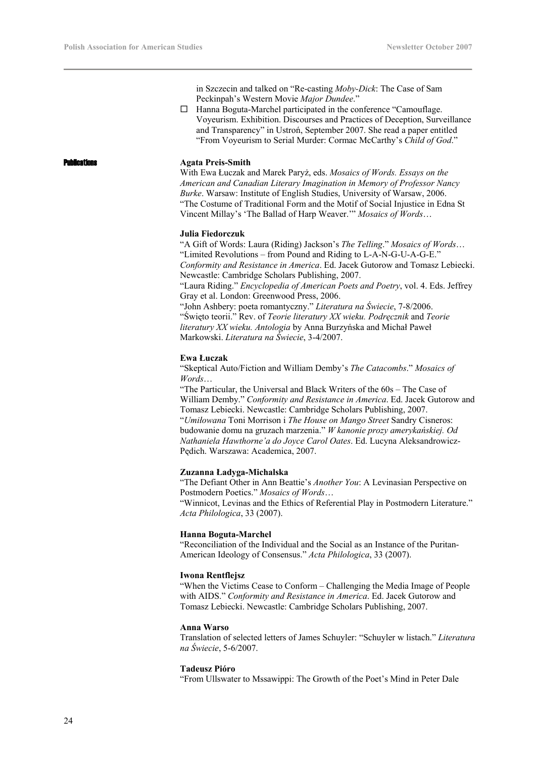in Szczecin and talked on "Re-casting *Moby-Dick*: The Case of Sam Peckinpah's Western Movie *Major Dundee*."

 Hanna Boguta-Marchel participated in the conference "Camouflage. Voyeurism. Exhibition. Discourses and Practices of Deception, Surveillance and Transparency" in Ustroń, September 2007. She read a paper entitled "From Voyeurism to Serial Murder: Cormac McCarthy's *Child of God*."

# **Ications Agata Preis-Smith**

With Ewa Łuczak and Marek Paryż, eds. *Mosaics of Words. Essays on the American and Canadian Literary Imagination in Memory of Professor Nancy Burke*. Warsaw: Institute of English Studies, University of Warsaw, 2006. "The Costume of Traditional Form and the Motif of Social Injustice in Edna St Vincent Millay's 'The Ballad of Harp Weaver.'" *Mosaics of Words*…

# **Julia Fiedorczuk**

"A Gift of Words: Laura (Riding) Jackson's *The Telling*." *Mosaics of Words*… "Limited Revolutions – from Pound and Riding to L-A-N-G-U-A-G-E." *Conformity and Resistance in America*. Ed. Jacek Gutorow and Tomasz Lebiecki. Newcastle: Cambridge Scholars Publishing, 2007.

"Laura Riding." *Encyclopedia of American Poets and Poetry*, vol. 4. Eds. Jeffrey Gray et al. London: Greenwood Press, 2006.

"John Ashbery: poeta romantyczny." *Literatura na Świecie*, 7-8/2006. "Święto teorii." Rev. of *Teorie literatury XX wieku. Podręcznik* and *Teorie literatury XX wieku. Antologia* by Anna Burzyńska and Michał Paweł Markowski. *Literatura na Świecie*, 3-4/2007.

# **Ewa Łuczak**

"Skeptical Auto/Fiction and William Demby's *The Catacombs*." *Mosaics of Words*…

"The Particular, the Universal and Black Writers of the 60s – The Case of William Demby." *Conformity and Resistance in America*. Ed. Jacek Gutorow and Tomasz Lebiecki. Newcastle: Cambridge Scholars Publishing, 2007. "*Umiłowana* Toni Morrison i *The House on Mango Street* Sandry Cisneros: budowanie domu na gruzach marzenia." *W kanonie prozy amerykańskiej. Od Nathaniela Hawthorne'a do Joyce Carol Oates*. Ed. Lucyna Aleksandrowicz-Pędich. Warszawa: Academica, 2007.

### **Zuzanna Ładyga-Michalska**

"The Defiant Other in Ann Beattie's *Another You*: A Levinasian Perspective on Postmodern Poetics." *Mosaics of Words*…

"Winnicot, Levinas and the Ethics of Referential Play in Postmodern Literature." *Acta Philologica*, 33 (2007).

### **Hanna Boguta-Marchel**

"Reconciliation of the Individual and the Social as an Instance of the Puritan-American Ideology of Consensus." *Acta Philologica*, 33 (2007).

### **Iwona Rentflejsz**

"When the Victims Cease to Conform – Challenging the Media Image of People with AIDS." *Conformity and Resistance in America*. Ed. Jacek Gutorow and Tomasz Lebiecki. Newcastle: Cambridge Scholars Publishing, 2007.

## **Anna Warso**

Translation of selected letters of James Schuyler: "Schuyler w listach." *Literatura na Świecie*, 5-6/2007.

### **Tadeusz Pióro**

"From Ullswater to Mssawippi: The Growth of the Poet's Mind in Peter Dale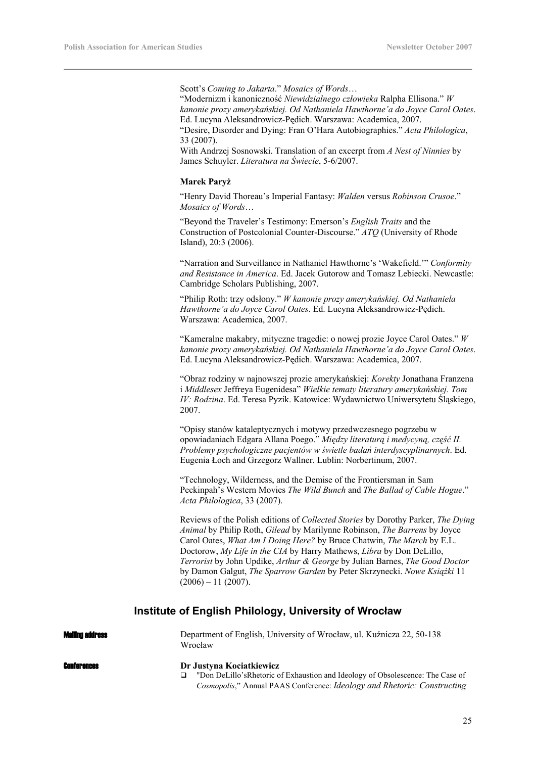Scott's *Coming to Jakarta*." *Mosaics of Words*…

"Modernizm i kanoniczność *Niewidzialnego człowieka* Ralpha Ellisona." *W kanonie prozy amerykańskiej. Od Nathaniela Hawthorne'a do Joyce Carol Oates*. Ed. Lucyna Aleksandrowicz-Pędich. Warszawa: Academica, 2007.

"Desire, Disorder and Dying: Fran O'Hara Autobiographies." *Acta Philologica*, 33 (2007).

With Andrzej Sosnowski. Translation of an excerpt from *A Nest of Ninnies* by James Schuyler. *Literatura na Świecie*, 5-6/2007.

# **Marek Paryż**

"Henry David Thoreau's Imperial Fantasy: *Walden* versus *Robinson Crusoe*." *Mosaics of Words*…

"Beyond the Traveler's Testimony: Emerson's *English Traits* and the Construction of Postcolonial Counter-Discourse." *ATQ* (University of Rhode Island), 20:3 (2006).

"Narration and Surveillance in Nathaniel Hawthorne's 'Wakefield.'" *Conformity and Resistance in America*. Ed. Jacek Gutorow and Tomasz Lebiecki. Newcastle: Cambridge Scholars Publishing, 2007.

"Philip Roth: trzy odsłony." *W kanonie prozy amerykańskiej. Od Nathaniela Hawthorne'a do Joyce Carol Oates*. Ed. Lucyna Aleksandrowicz-Pędich. Warszawa: Academica, 2007.

"Kameralne makabry, mityczne tragedie: o nowej prozie Joyce Carol Oates." *W kanonie prozy amerykańskiej. Od Nathaniela Hawthorne'a do Joyce Carol Oates*. Ed. Lucyna Aleksandrowicz-Pędich. Warszawa: Academica, 2007.

"Obraz rodziny w najnowszej prozie amerykańskiej: *Korekty* Jonathana Franzena i *Middlesex* Jeffreya Eugenidesa" *Wielkie tematy literatury amerykańskiej. Tom IV: Rodzina*. Ed. Teresa Pyzik. Katowice: Wydawnictwo Uniwersytetu Śląskiego, 2007.

"Opisy stanów kataleptycznych i motywy przedwczesnego pogrzebu w opowiadaniach Edgara Allana Poego." *Między literaturą i medycyną, część II. Problemy psychologiczne pacjentów w świetle badań interdyscyplinarnych*. Ed. Eugenia Łoch and Grzegorz Wallner. Lublin: Norbertinum, 2007.

"Technology, Wilderness, and the Demise of the Frontiersman in Sam Peckinpah's Western Movies *The Wild Bunch* and *The Ballad of Cable Hogue*." *Acta Philologica*, 33 (2007).

Reviews of the Polish editions of *Collected Stories* by Dorothy Parker, *The Dying Animal* by Philip Roth, *Gilead* by Marilynne Robinson, *The Barrens* by Joyce Carol Oates, *What Am I Doing Here?* by Bruce Chatwin, *The March* by E.L. Doctorow, *My Life in the CIA* by Harry Mathews, *Libra* by Don DeLillo, *Terrorist* by John Updike, *Arthur & George* by Julian Barnes, *The Good Doctor* by Damon Galgut, *The Sparrow Garden* by Peter Skrzynecki. *Nowe Książki* 11  $(2006) - 11 (2007)$ .

# **Institute of English Philology, University of Wrocław**

| <b>Mailing address</b> | Department of English, University of Wrocław, ul. Kuźnicza 22, 50-138<br>Wrocław |
|------------------------|----------------------------------------------------------------------------------|
| <b>Conferences</b>     | Dr Justyna Kociatkiewicz                                                         |
|                        | "Don DeLillo's Rhetoric of Exhaustion and Ideology of Obsolescence: The Case of  |
|                        | Cosmopolis," Annual PAAS Conference: Ideology and Rhetoric: Constructing         |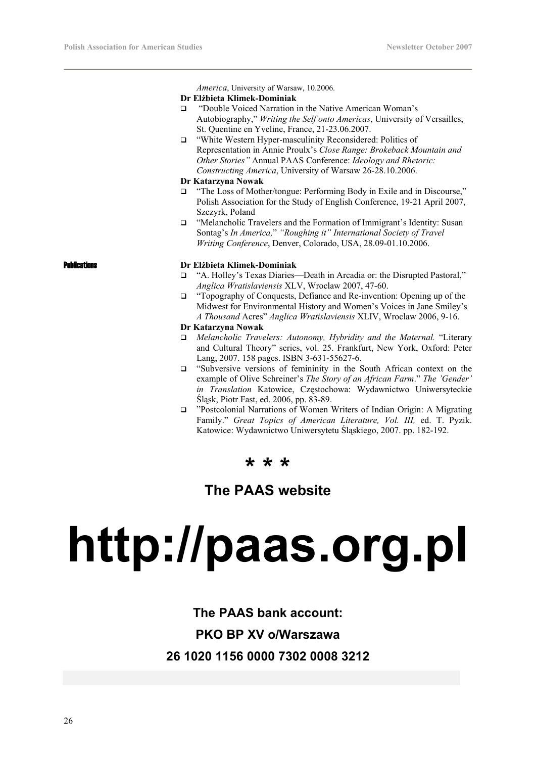*America*, University of Warsaw, 10.2006.

### **Dr Elżbieta Klimek-Dominiak**

- □ "Double Voiced Narration in the Native American Woman's Autobiography," *Writing the Self onto Americas*, University of Versailles, St. Quentine en Yveline, France, 21-23.06.2007.
- "White Western Hyper-masculinity Reconsidered: Politics of Representation in Annie Proulx's *Close Range: Brokeback Mountain and Other Stories"* Annual PAAS Conference: *Ideology and Rhetoric: Constructing America*, University of Warsaw 26-28.10.2006.

# **Dr Katarzyna Nowak**

- □ "The Loss of Mother/tongue: Performing Body in Exile and in Discourse," Polish Association for the Study of English Conference, 19-21 April 2007, Szczyrk, Poland
- □ "Melancholic Travelers and the Formation of Immigrant's Identity: Susan Sontag's *In America,*" *"Roughing it" International Society of Travel Writing Conference*, Denver, Colorado, USA, 28.09-01.10.2006.

## Publications **Dr Elżbieta Klimek-Dominiak**

- "A. Holley's Texas Diaries—Death in Arcadia or: the Disrupted Pastoral," *Anglica Wratislaviensis* XLV, Wroclaw 2007, 47-60.
- □ "Topography of Conquests, Defiance and Re-invention: Opening up of the Midwest for Environmental History and Women's Voices in Jane Smiley's *A Thousand* Acres" *Anglica Wratislaviensis* XLIV, Wroclaw 2006, 9-16.

# **Dr Katarzyna Nowak**

- *Melancholic Travelers: Autonomy, Hybridity and the Maternal.* "Literary and Cultural Theory" series, vol. 25. Frankfurt, New York, Oxford: Peter Lang, 2007. 158 pages. ISBN 3-631-55627-6.
- "Subversive versions of femininity in the South African context on the example of Olive Schreiner's *The Story of an African Farm*." *The 'Gender' in Translation* Katowice, Częstochowa: Wydawnictwo Uniwersyteckie Śląsk, Piotr Fast, ed. 2006, pp. 83-89.
- "Postcolonial Narrations of Women Writers of Indian Origin: A Migrating Family." *Great Topics of American Literature, Vol. III,* ed. T. Pyzik. Katowice: Wydawnictwo Uniwersytetu Śląskiego, 2007. pp. 182-192.

# **\* \* \***

# **The PAAS website**

# **http://paas.org.pl**

# **The PAAS bank account: PKO BP XV o/Warszawa**

**26 1020 1156 0000 7302 0008 3212**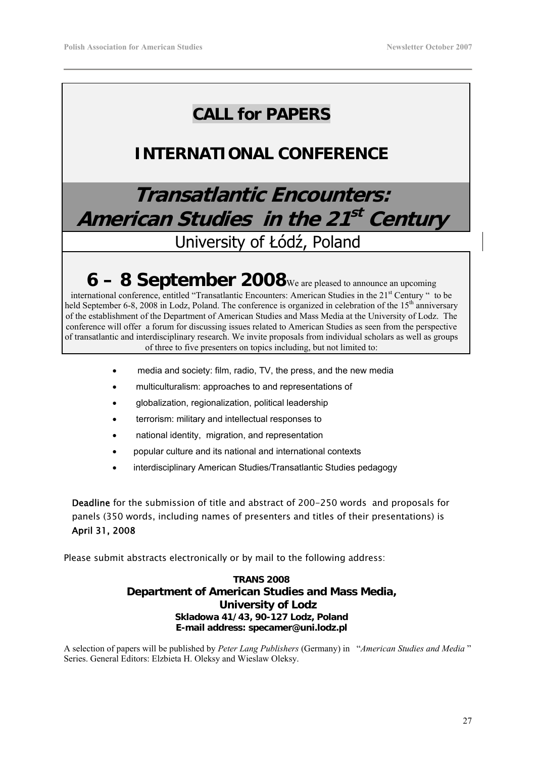# **CALL for PAPERS**

# **INTERNATIONAL CONFERENCE**

# **Transatlantic Encounters: American Studies in the 21st Century** University of Łódź, Poland

# **6 – 8 September 2008**We are pleased to announce an upcoming

international conference, entitled "Transatlantic Encounters: American Studies in the 21<sup>st</sup> Century " to be held September 6-8, 2008 in Lodz. Poland. The conference is organized in celebration of the 15<sup>th</sup> anniversary of the establishment of the Department of American Studies and Mass Media at the University of Lodz. The conference will offer a forum for discussing issues related to American Studies as seen from the perspective of transatlantic and interdisciplinary research. We invite proposals from individual scholars as well as groups of three to five presenters on topics including, but not limited to:

- media and society: film, radio, TV, the press, and the new media
- multiculturalism: approaches to and representations of
- globalization, regionalization, political leadership
- terrorism: military and intellectual responses to
- national identity, migration, and representation
- popular culture and its national and international contexts
- interdisciplinary American Studies/Transatlantic Studies pedagogy

Deadline for the submission of title and abstract of 200-250 words and proposals for panels (350 words, including names of presenters and titles of their presentations) is April 31, 2008

Please submit abstracts electronically or by mail to the following address:

# **TRANS 2008 Department of American Studies and Mass Media, University of Lodz Skladowa 41/43, 90-127 Lodz, Poland E-mail address: specamer@uni.lodz.pl**

A selection of papers will be published by *Peter Lang Publishers* (Germany) in "*American Studies and Media* " Series. General Editors: Elzbieta H. Oleksy and Wieslaw Oleksy.